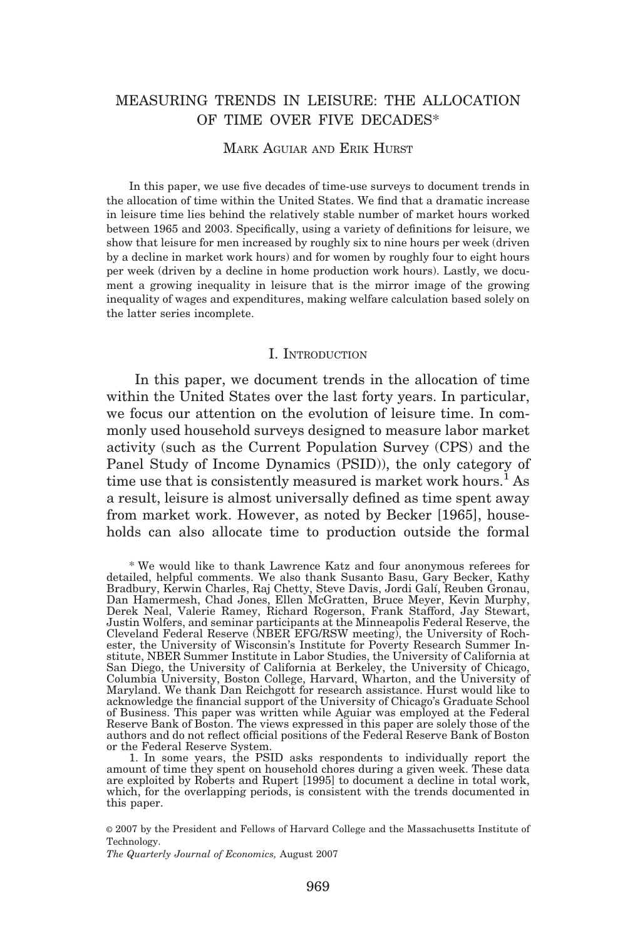## MEASURING TRENDS IN LEISURE: THE ALLOCATION OF TIME OVER FIVE DECADES\*

#### MARK AGUIAR AND ERIK HURST

In this paper, we use five decades of time-use surveys to document trends in the allocation of time within the United States. We find that a dramatic increase in leisure time lies behind the relatively stable number of market hours worked between 1965 and 2003. Specifically, using a variety of definitions for leisure, we show that leisure for men increased by roughly six to nine hours per week (driven by a decline in market work hours) and for women by roughly four to eight hours per week (driven by a decline in home production work hours). Lastly, we document a growing inequality in leisure that is the mirror image of the growing inequality of wages and expenditures, making welfare calculation based solely on the latter series incomplete.

#### I. INTRODUCTION

In this paper, we document trends in the allocation of time within the United States over the last forty years. In particular, we focus our attention on the evolution of leisure time. In commonly used household surveys designed to measure labor market activity (such as the Current Population Survey (CPS) and the Panel Study of Income Dynamics (PSID)), the only category of time use that is consistently measured is market work hours.<sup>1</sup> As a result, leisure is almost universally defined as time spent away from market work. However, as noted by Becker [1965], households can also allocate time to production outside the formal

*The Quarterly Journal of Economics,* August 2007

<sup>\*</sup> We would like to thank Lawrence Katz and four anonymous referees for detailed, helpful comments. We also thank Susanto Basu, Gary Becker, Kathy Bradbury, Kerwin Charles, Raj Chetty, Steve Davis, Jordi Galı´, Reuben Gronau, Dan Hamermesh, Chad Jones, Ellen McGratten, Bruce Meyer, Kevin Murphy, Derek Neal, Valerie Ramey, Richard Rogerson, Frank Stafford, Jay Stewart, Justin Wolfers, and seminar participants at the Minneapolis Federal Reserve, the Cleveland Federal Reserve (NBER EFG/RSW meeting), the University of Rochester, the University of Wisconsin's Institute for Poverty Research Summer Institute, NBER Summer Institute in Labor Studies, the University of California at San Diego, the University of California at Berkeley, the University of Chicago, Columbia University, Boston College, Harvard, Wharton, and the University of Maryland. We thank Dan Reichgott for research assistance. Hurst would like to acknowledge the financial support of the University of Chicago's Graduate School of Business. This paper was written while Aguiar was employed at the Federal Reserve Bank of Boston. The views expressed in this paper are solely those of the authors and do not reflect official positions of the Federal Reserve Bank of Boston or the Federal Reserve System.

<sup>1.</sup> In some years, the PSID asks respondents to individually report the amount of time they spent on household chores during a given week. These data are exploited by Roberts and Rupert [1995] to document a decline in total work, which, for the overlapping periods, is consistent with the trends documented in this paper.

<sup>©</sup> 2007 by the President and Fellows of Harvard College and the Massachusetts Institute of Technology.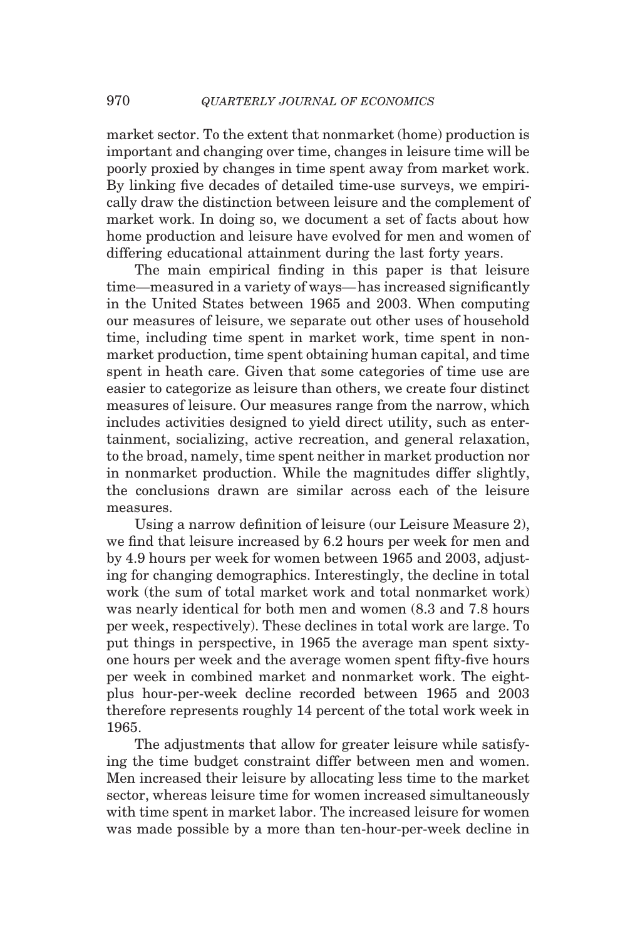market sector. To the extent that nonmarket (home) production is important and changing over time, changes in leisure time will be poorly proxied by changes in time spent away from market work. By linking five decades of detailed time-use surveys, we empirically draw the distinction between leisure and the complement of market work. In doing so, we document a set of facts about how home production and leisure have evolved for men and women of differing educational attainment during the last forty years.

The main empirical finding in this paper is that leisure time—measured in a variety of ways—has increased significantly in the United States between 1965 and 2003. When computing our measures of leisure, we separate out other uses of household time, including time spent in market work, time spent in nonmarket production, time spent obtaining human capital, and time spent in heath care. Given that some categories of time use are easier to categorize as leisure than others, we create four distinct measures of leisure. Our measures range from the narrow, which includes activities designed to yield direct utility, such as entertainment, socializing, active recreation, and general relaxation, to the broad, namely, time spent neither in market production nor in nonmarket production. While the magnitudes differ slightly, the conclusions drawn are similar across each of the leisure measures.

Using a narrow definition of leisure (our Leisure Measure 2), we find that leisure increased by 6.2 hours per week for men and by 4.9 hours per week for women between 1965 and 2003, adjusting for changing demographics. Interestingly, the decline in total work (the sum of total market work and total nonmarket work) was nearly identical for both men and women (8.3 and 7.8 hours per week, respectively). These declines in total work are large. To put things in perspective, in 1965 the average man spent sixtyone hours per week and the average women spent fifty-five hours per week in combined market and nonmarket work. The eightplus hour-per-week decline recorded between 1965 and 2003 therefore represents roughly 14 percent of the total work week in 1965.

The adjustments that allow for greater leisure while satisfying the time budget constraint differ between men and women. Men increased their leisure by allocating less time to the market sector, whereas leisure time for women increased simultaneously with time spent in market labor. The increased leisure for women was made possible by a more than ten-hour-per-week decline in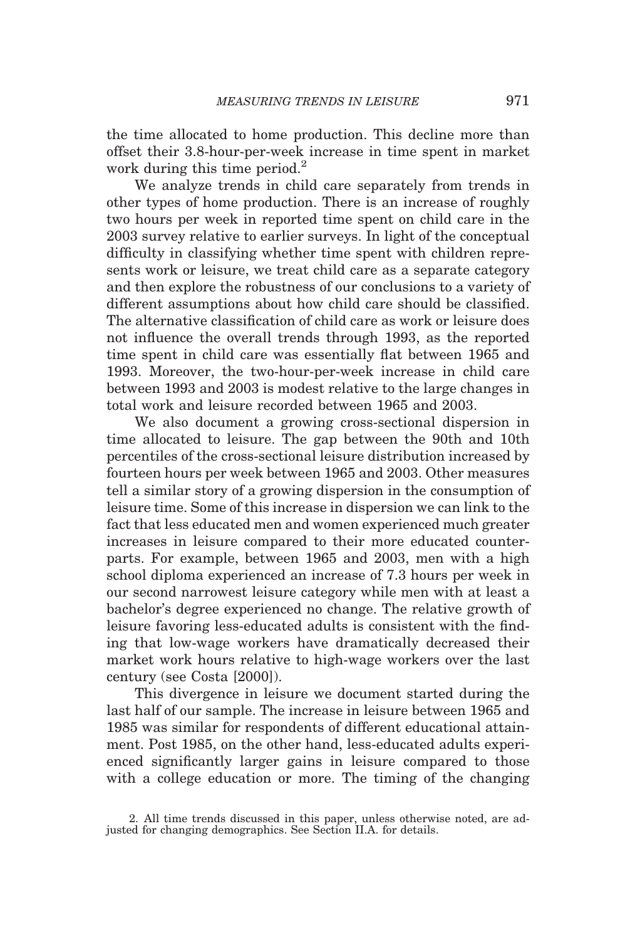the time allocated to home production. This decline more than offset their 3.8-hour-per-week increase in time spent in market work during this time period.<sup>2</sup>

We analyze trends in child care separately from trends in other types of home production. There is an increase of roughly two hours per week in reported time spent on child care in the 2003 survey relative to earlier surveys. In light of the conceptual difficulty in classifying whether time spent with children represents work or leisure, we treat child care as a separate category and then explore the robustness of our conclusions to a variety of different assumptions about how child care should be classified. The alternative classification of child care as work or leisure does not influence the overall trends through 1993, as the reported time spent in child care was essentially flat between 1965 and 1993. Moreover, the two-hour-per-week increase in child care between 1993 and 2003 is modest relative to the large changes in total work and leisure recorded between 1965 and 2003.

We also document a growing cross-sectional dispersion in time allocated to leisure. The gap between the 90th and 10th percentiles of the cross-sectional leisure distribution increased by fourteen hours per week between 1965 and 2003. Other measures tell a similar story of a growing dispersion in the consumption of leisure time. Some of this increase in dispersion we can link to the fact that less educated men and women experienced much greater increases in leisure compared to their more educated counterparts. For example, between 1965 and 2003, men with a high school diploma experienced an increase of 7.3 hours per week in our second narrowest leisure category while men with at least a bachelor's degree experienced no change. The relative growth of leisure favoring less-educated adults is consistent with the finding that low-wage workers have dramatically decreased their market work hours relative to high-wage workers over the last century (see Costa [2000]).

This divergence in leisure we document started during the last half of our sample. The increase in leisure between 1965 and 1985 was similar for respondents of different educational attainment. Post 1985, on the other hand, less-educated adults experienced significantly larger gains in leisure compared to those with a college education or more. The timing of the changing

2. All time trends discussed in this paper, unless otherwise noted, are adjusted for changing demographics. See Section II.A. for details.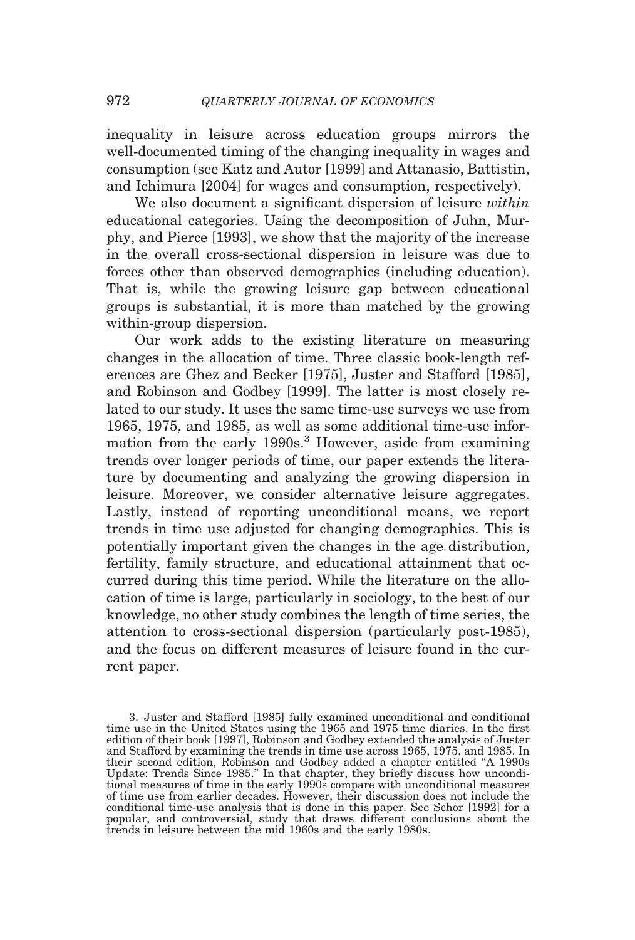inequality in leisure across education groups mirrors the well-documented timing of the changing inequality in wages and consumption (see Katz and Autor [1999] and Attanasio, Battistin, and Ichimura [2004] for wages and consumption, respectively).

We also document a significant dispersion of leisure *within* educational categories. Using the decomposition of Juhn, Murphy, and Pierce [1993], we show that the majority of the increase in the overall cross-sectional dispersion in leisure was due to forces other than observed demographics (including education). That is, while the growing leisure gap between educational groups is substantial, it is more than matched by the growing within-group dispersion.

Our work adds to the existing literature on measuring changes in the allocation of time. Three classic book-length references are Ghez and Becker [1975], Juster and Stafford [1985], and Robinson and Godbey [1999]. The latter is most closely related to our study. It uses the same time-use surveys we use from 1965, 1975, and 1985, as well as some additional time-use information from the early 1990s.<sup>3</sup> However, aside from examining trends over longer periods of time, our paper extends the literature by documenting and analyzing the growing dispersion in leisure. Moreover, we consider alternative leisure aggregates. Lastly, instead of reporting unconditional means, we report trends in time use adjusted for changing demographics. This is potentially important given the changes in the age distribution, fertility, family structure, and educational attainment that occurred during this time period. While the literature on the allocation of time is large, particularly in sociology, to the best of our knowledge, no other study combines the length of time series, the attention to cross-sectional dispersion (particularly post-1985), and the focus on different measures of leisure found in the current paper.

<sup>3.</sup> Juster and Stafford [1985] fully examined unconditional and conditional time use in the United States using the 1965 and 1975 time diaries. In the first edition of their book [1997], Robinson and Godbey extended the analysis of Juster and Stafford by examining the trends in time use across 1965, 1975, and 1985. In their second edition, Robinson and Godbey added a chapter entitled "A 1990s Update: Trends Since 1985." In that chapter, they briefly discuss how unconditional measures of time in the early 1990s compare with unconditional measures of time use from earlier decades. However, their discussion does not include the conditional time-use analysis that is done in this paper. See Schor [1992] for a popular, and controversial, study that draws different conclusions about the trends in leisure between the mid 1960s and the early 1980s.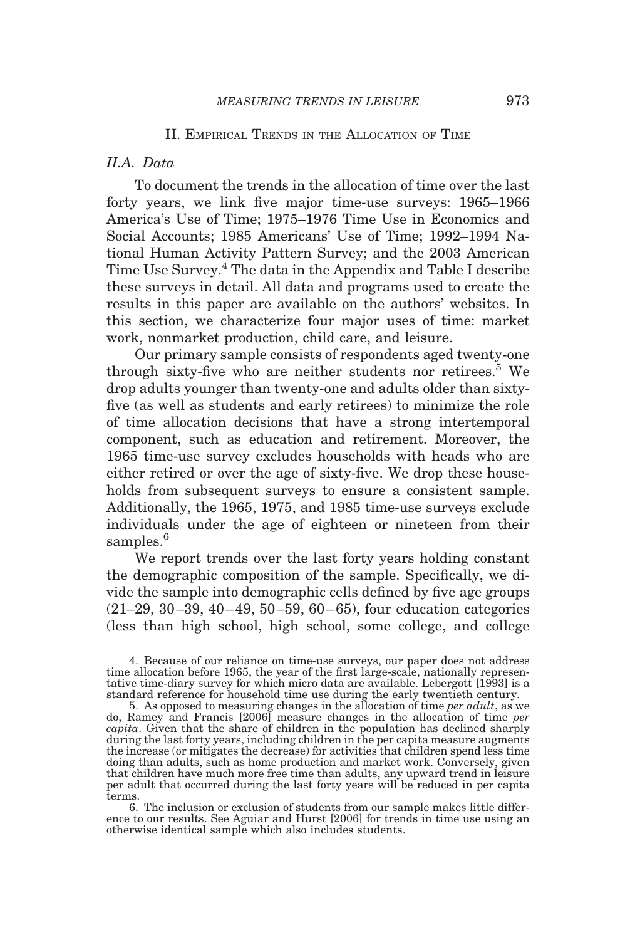#### II. EMPIRICAL TRENDS IN THE ALLOCATION OF TIME

### *II.A. Data*

To document the trends in the allocation of time over the last forty years, we link five major time-use surveys: 1965–1966 America's Use of Time; 1975–1976 Time Use in Economics and Social Accounts; 1985 Americans' Use of Time; 1992–1994 National Human Activity Pattern Survey; and the 2003 American Time Use Survey.<sup>4</sup> The data in the Appendix and Table I describe these surveys in detail. All data and programs used to create the results in this paper are available on the authors' websites. In this section, we characterize four major uses of time: market work, nonmarket production, child care, and leisure.

Our primary sample consists of respondents aged twenty-one through sixty-five who are neither students nor retirees.<sup>5</sup> We drop adults younger than twenty-one and adults older than sixtyfive (as well as students and early retirees) to minimize the role of time allocation decisions that have a strong intertemporal component, such as education and retirement. Moreover, the 1965 time-use survey excludes households with heads who are either retired or over the age of sixty-five. We drop these households from subsequent surveys to ensure a consistent sample. Additionally, the 1965, 1975, and 1985 time-use surveys exclude individuals under the age of eighteen or nineteen from their samples.<sup>6</sup>

We report trends over the last forty years holding constant the demographic composition of the sample. Specifically, we divide the sample into demographic cells defined by five age groups  $(21-29, 30-39, 40-49, 50-59, 60-65)$ , four education categories (less than high school, high school, some college, and college

6. The inclusion or exclusion of students from our sample makes little difference to our results. See Aguiar and Hurst [2006] for trends in time use using an otherwise identical sample which also includes students.

<sup>4.</sup> Because of our reliance on time-use surveys, our paper does not address time allocation before 1965, the year of the first large-scale, nationally representative time-diary survey for which micro data are available. Lebergott [1993] is a standard reference for household time use during the early twentieth century.

<sup>5.</sup> As opposed to measuring changes in the allocation of time *per adult*, as we do, Ramey and Francis [2006] measure changes in the allocation of time *per capita*. Given that the share of children in the population has declined sharply during the last forty years, including children in the per capita measure augments the increase (or mitigates the decrease) for activities that children spend less time doing than adults, such as home production and market work. Conversely, given that children have much more free time than adults, any upward trend in leisure per adult that occurred during the last forty years will be reduced in per capita terms.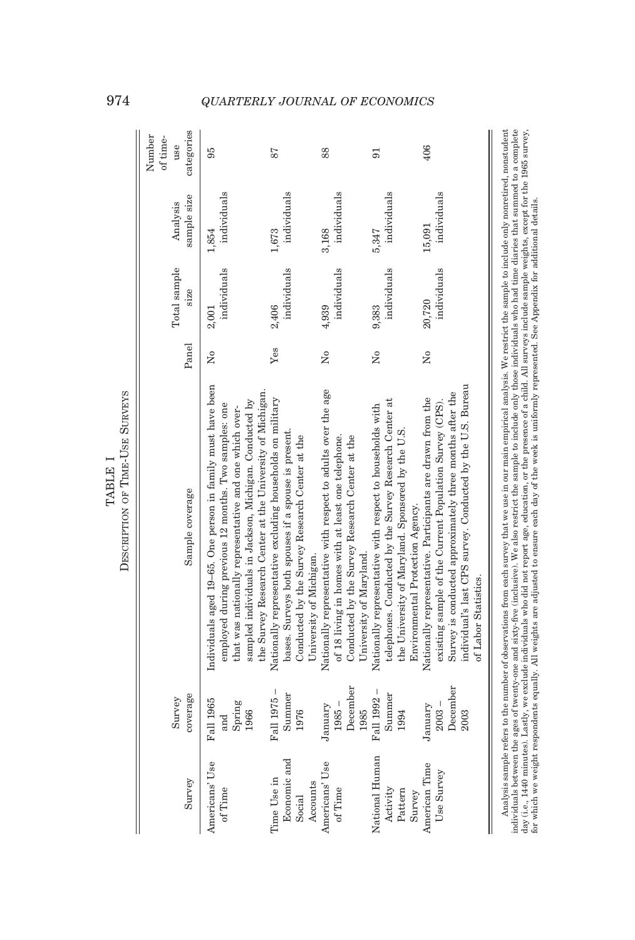|                                         |                         |                       |       | individuals between the ages of twenty-one and sixty-five (inclusive). We also restrict the sample to include only those individuals who had time diaries that summed to a complete<br>Analysis sample refers to the number of observations from each survey that we use in our main empirical analysis. We restrict the sample to include only nonretired, nonstudent |                                 |                             |
|-----------------------------------------|-------------------------|-----------------------|-------|------------------------------------------------------------------------------------------------------------------------------------------------------------------------------------------------------------------------------------------------------------------------------------------------------------------------------------------------------------------------|---------------------------------|-----------------------------|
|                                         |                         |                       |       | individual's last CPS survey. Conducted by the U.S. Bureau<br>Survey is conducted approximately three months after the<br>existing sample of the Current Population Survey (CPS).<br>of Labor Statistics.                                                                                                                                                              | December<br>2003                | Use Survey                  |
| 406                                     | individuals<br>15,091   | individuals<br>20,720 | Σ°    | Nationally representative. Participants are drawn from the<br>Environmental Protection Agency.                                                                                                                                                                                                                                                                         | $2003 -$<br>January             | American Time<br>Survey     |
|                                         | individuals             | individuals           |       | telephones. Conducted by the Survey Research Center at<br>the University of Maryland. Sponsored by the U.S.                                                                                                                                                                                                                                                            | Summer<br>1994                  | Activity<br>Pattern         |
| 91                                      | 5,347                   | 9,383                 | Χo    | Nationally representative with respect to households with<br>Conducted by the Survey Research Center at the<br>University of Maryland.                                                                                                                                                                                                                                 | December<br>Fall 1992 -<br>1985 | National Human              |
| 88                                      | individuals<br>3,168    | individuals<br>4,939  | Σó    | Nationally representative with respect to adults over the age<br>of 18 living in homes with at least one telephone.                                                                                                                                                                                                                                                    | $1985 -$<br>January             | Americans' Use<br>of Time   |
|                                         |                         |                       |       | Conducted by the Survey Research Center at the<br>University of Michigan.                                                                                                                                                                                                                                                                                              | 1976                            | Accounts<br>Social          |
| 78                                      | individuals<br>1,673    | individuals<br>2,406  | Yes   | Nationally representative excluding households on military<br>bases. Surveys both spouses if a spouse is present.                                                                                                                                                                                                                                                      | Fall 1975 -<br>Summer           | Economic and<br>Time Use in |
|                                         |                         |                       |       | the Survey Research Center at the University of Michigan.<br>sampled individuals in Jackson, Michigan. Conducted by<br>that was nationally representative and one which over-                                                                                                                                                                                          | Spring<br>1966                  |                             |
| 95                                      | individuals<br>1,854    | individuals<br>2,001  | ž     | Individuals aged 19-65. One person in family must have been<br>employed during previous 12 months. Two samples: one                                                                                                                                                                                                                                                    | Fall 1965<br>and                | Americans' Use<br>of Time   |
| categories<br>Number<br>of time-<br>use | sample size<br>Analysis | Total sample<br>size  | Panel | Sample coverage                                                                                                                                                                                                                                                                                                                                                        | coverage<br>Survey              | Survey                      |

DESCRIPTION OF TIME-USE SURVEYS TIME-USE SURVEYS TABLE I TABLE I DESCRIPTION OF

## 974 *QUARTERLY JOURNAL OF ECONOMICS*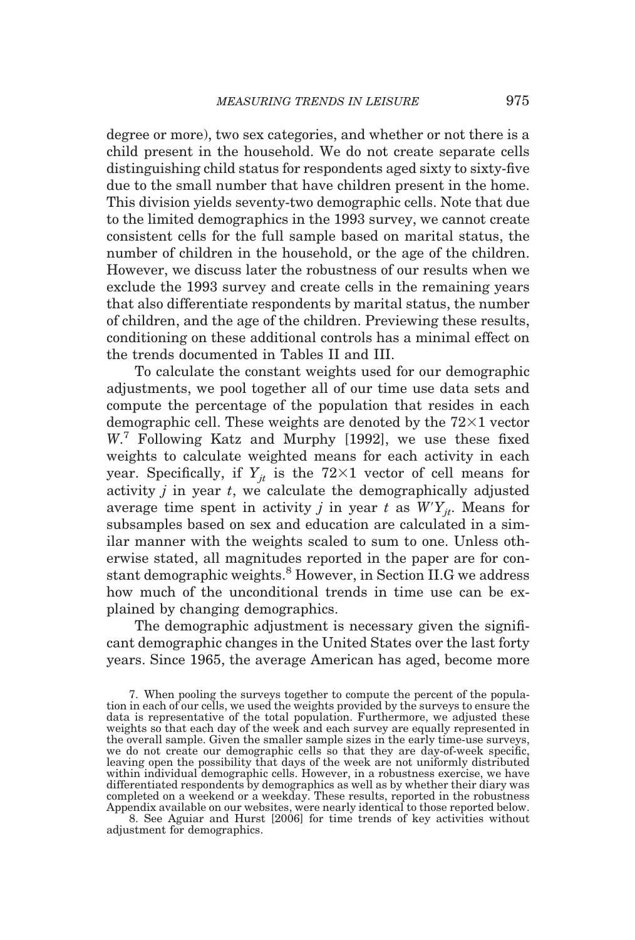degree or more), two sex categories, and whether or not there is a child present in the household. We do not create separate cells distinguishing child status for respondents aged sixty to sixty-five due to the small number that have children present in the home. This division yields seventy-two demographic cells. Note that due to the limited demographics in the 1993 survey, we cannot create consistent cells for the full sample based on marital status, the number of children in the household, or the age of the children. However, we discuss later the robustness of our results when we exclude the 1993 survey and create cells in the remaining years that also differentiate respondents by marital status, the number of children, and the age of the children. Previewing these results, conditioning on these additional controls has a minimal effect on the trends documented in Tables II and III.

To calculate the constant weights used for our demographic adjustments, we pool together all of our time use data sets and compute the percentage of the population that resides in each demographic cell. These weights are denoted by the  $72\times1$  vector *W*. <sup>7</sup> Following Katz and Murphy [1992], we use these fixed weights to calculate weighted means for each activity in each year. Specifically, if  $Y_{it}$  is the 72×1 vector of cell means for activity *j* in year *t*, we calculate the demographically adjusted average time spent in activity *j* in year *t* as  $W'Y_{jt}$ . Means for subsamples based on sex and education are calculated in a similar manner with the weights scaled to sum to one. Unless otherwise stated, all magnitudes reported in the paper are for constant demographic weights.<sup>8</sup> However, in Section II.G we address how much of the unconditional trends in time use can be explained by changing demographics.

The demographic adjustment is necessary given the significant demographic changes in the United States over the last forty years. Since 1965, the average American has aged, become more

8. See Aguiar and Hurst [2006] for time trends of key activities without adjustment for demographics.

<sup>7.</sup> When pooling the surveys together to compute the percent of the population in each of our cells, we used the weights provided by the surveys to ensure the data is representative of the total population. Furthermore, we adjusted these weights so that each day of the week and each survey are equally represented in the overall sample. Given the smaller sample sizes in the early time-use surveys, we do not create our demographic cells so that they are day-of-week specific, leaving open the possibility that days of the week are not uniformly distributed within individual demographic cells. However, in a robustness exercise, we have differentiated respondents by demographics as well as by whether their diary was completed on a weekend or a weekday. These results, reported in the robustness Appendix available on our websites, were nearly identical to those reported below.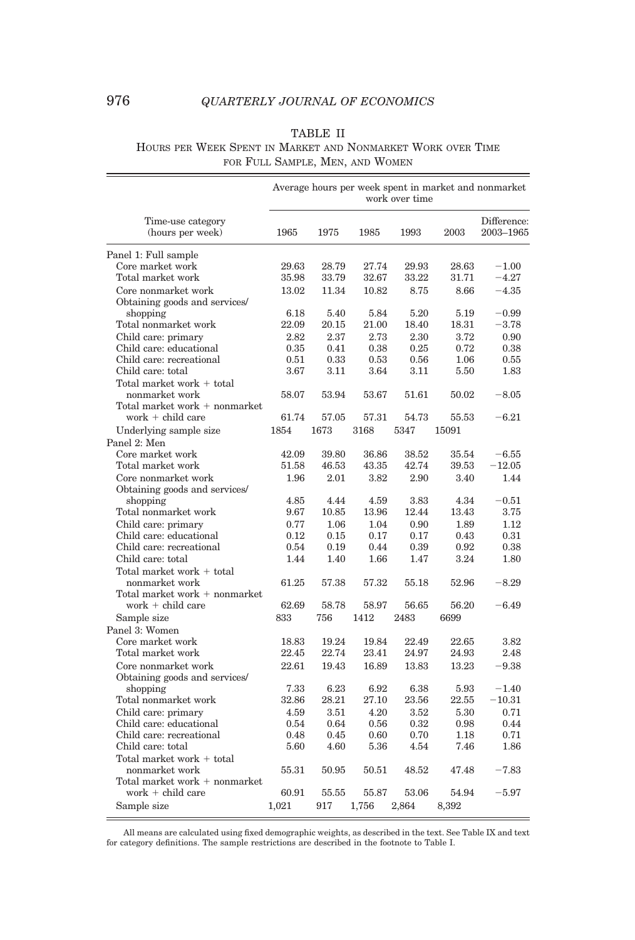|                                       |       |          |       | work over time |       | Average hours per week spent in market and nonmarket |
|---------------------------------------|-------|----------|-------|----------------|-------|------------------------------------------------------|
| Time-use category<br>(hours per week) | 1965  | 1975     | 1985  | 1993           | 2003  | Difference:<br>2003-1965                             |
| Panel 1: Full sample                  |       |          |       |                |       |                                                      |
| Core market work                      | 29.63 | 28.79    | 27.74 | 29.93          | 28.63 | $-1.00$                                              |
| Total market work                     | 35.98 | 33.79    | 32.67 | 33.22          | 31.71 | $-4.27$                                              |
| Core nonmarket work                   | 13.02 | 11.34    | 10.82 | 8.75           | 8.66  | $-4.35$                                              |
| Obtaining goods and services/         |       |          |       |                |       |                                                      |
| shopping                              | 6.18  | 5.40     | 5.84  | 5.20           | 5.19  | $-0.99$                                              |
| Total nonmarket work                  | 22.09 | 20.15    | 21.00 | 18.40          | 18.31 | $-3.78$                                              |
| Child care: primary                   | 2.82  | 2.37     | 2.73  | 2.30           | 3.72  | 0.90                                                 |
| Child care: educational               | 0.35  | 0.41     | 0.38  | 0.25           | 0.72  | 0.38                                                 |
| Child care: recreational              | 0.51  | 0.33     | 0.53  | 0.56           | 1.06  | 0.55                                                 |
| Child care: total                     | 3.67  | $3.11\,$ | 3.64  | 3.11           | 5.50  | 1.83                                                 |
| Total market work + total             |       |          |       |                |       |                                                      |
| nonmarket work                        | 58.07 | 53.94    | 53.67 | 51.61          | 50.02 | $-8.05$                                              |
| Total market work + nonmarket         |       |          |       |                |       |                                                      |
| work + child care                     | 61.74 | 57.05    | 57.31 | 54.73          | 55.53 | $-6.21$                                              |
| Underlying sample size                | 1854  | 1673     | 3168  | 5347           | 15091 |                                                      |
| Panel 2: Men                          |       |          |       |                |       |                                                      |
| Core market work                      | 42.09 | 39.80    | 36.86 | 38.52          | 35.54 | $-6.55$                                              |
| Total market work                     | 51.58 | 46.53    | 43.35 | 42.74          | 39.53 | $-12.05$                                             |
| Core nonmarket work                   | 1.96  | 2.01     | 3.82  | 2.90           | 3.40  | 1.44                                                 |
| Obtaining goods and services/         |       |          |       |                |       |                                                      |
| shopping                              | 4.85  | 4.44     | 4.59  | 3.83           | 4.34  | $-0.51$                                              |
| Total nonmarket work                  | 9.67  | 10.85    | 13.96 | 12.44          | 13.43 | 3.75                                                 |
| Child care: primary                   | 0.77  | 1.06     | 1.04  | 0.90           | 1.89  | 1.12                                                 |
| Child care: educational               | 0.12  | 0.15     | 0.17  | 0.17           | 0.43  | 0.31                                                 |
| Child care: recreational              | 0.54  | 0.19     | 0.44  | 0.39           | 0.92  | 0.38                                                 |
| Child care: total                     | 1.44  | 1.40     | 1.66  | 1.47           | 3.24  | 1.80                                                 |
| Total market work + total             |       |          |       |                |       |                                                      |
| nonmarket work                        | 61.25 | 57.38    | 57.32 | 55.18          | 52.96 | $-8.29$                                              |
| Total market work + nonmarket         |       |          |       |                |       |                                                      |
| work $+$ child care                   | 62.69 | 58.78    | 58.97 | 56.65          | 56.20 | $-6.49$                                              |
| Sample size                           | 833   | 756      | 1412  | 2483           | 6699  |                                                      |
| Panel 3: Women                        |       |          |       |                |       |                                                      |
| Core market work                      | 18.83 | 19.24    | 19.84 | 22.49          | 22.65 | 3.82                                                 |
| Total market work                     | 22.45 | 22.74    | 23.41 | 24.97          | 24.93 | 2.48                                                 |
| Core nonmarket work                   | 22.61 | 19.43    | 16.89 | 13.83          | 13.23 | $-9.38$                                              |
| Obtaining goods and services/         |       |          |       |                |       |                                                      |
| shopping                              | 7.33  | 6.23     | 6.92  | 6.38           | 5.93  | $-1.40$                                              |
| Total nonmarket work                  | 32.86 | 28.21    | 27.10 | 23.56          | 22.55 | $-10.31$                                             |
| Child care: primary                   | 4.59  | 3.51     | 4.20  | 3.52           | 5.30  | 0.71                                                 |
| Child care: educational               | 0.54  | 0.64     | 0.56  | 0.32           | 0.98  | 0.44                                                 |
| Child care: recreational              | 0.48  | 0.45     | 0.60  | 0.70           | 1.18  | 0.71                                                 |
| Child care: total                     | 5.60  | 4.60     | 5.36  | 4.54           | 7.46  | 1.86                                                 |
| Total market work + total             |       |          |       |                |       |                                                      |
| nonmarket work                        | 55.31 | 50.95    | 50.51 | 48.52          | 47.48 | $-7.83$                                              |
| Total market work + nonmarket         |       |          |       |                |       |                                                      |
| work $+$ child care                   | 60.91 | 55.55    | 55.87 | 53.06          | 54.94 | $-5.97$                                              |
| Sample size                           | 1,021 | 917      | 1.756 | 2.864          | 8.392 |                                                      |

TABLE II HOURS PER WEEK SPENT IN MARKET AND NONMARKET WORK OVER TIME FOR FULL SAMPLE, MEN, AND WOMEN

All means are calculated using fixed demographic weights, as described in the text. See Table IX and text for category definitions. The sample restrictions are described in the footnote to Table I.

 $\overline{\phantom{a}}$ 

 $=$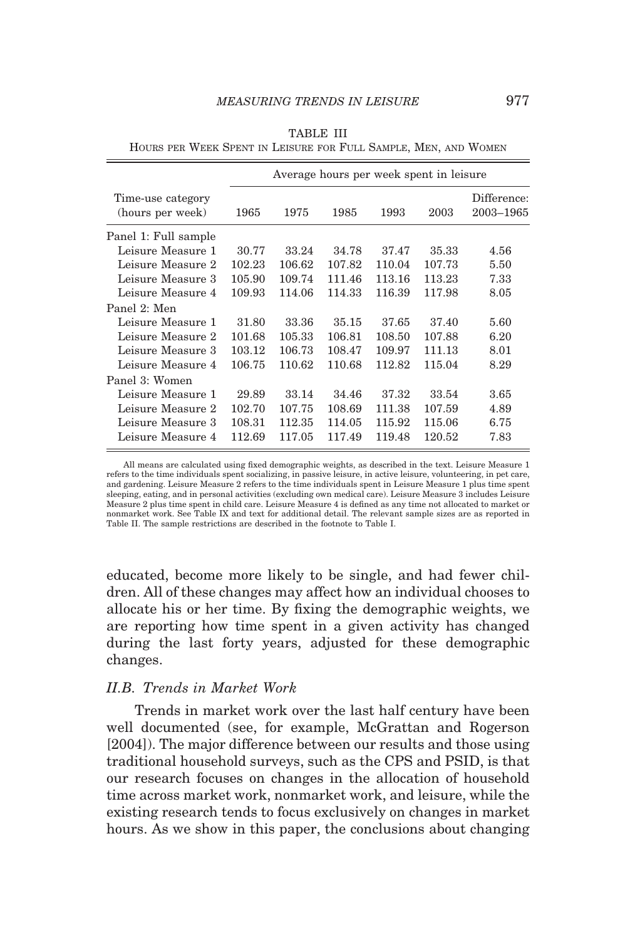|                                       |        |        |        | Average hours per week spent in leisure |        |                          |
|---------------------------------------|--------|--------|--------|-----------------------------------------|--------|--------------------------|
| Time-use category<br>(hours per week) | 1965   | 1975   | 1985   | 1993                                    | 2003   | Difference:<br>2003-1965 |
| Panel 1: Full sample                  |        |        |        |                                         |        |                          |
| Leisure Measure 1                     | 30.77  | 33.24  | 34.78  | 37.47                                   | 35.33  | 4.56                     |
| Leisure Measure 2                     | 102.23 | 106.62 | 107.82 | 110.04                                  | 107.73 | 5.50                     |
| Leisure Measure 3                     | 105.90 | 109.74 | 111.46 | 113.16                                  | 113.23 | 7.33                     |
| Leisure Measure 4                     | 109.93 | 114.06 | 114.33 | 116.39                                  | 117.98 | 8.05                     |
| Panel 2: Men                          |        |        |        |                                         |        |                          |
| Leisure Measure 1                     | 31.80  | 33.36  | 35.15  | 37.65                                   | 37.40  | 5.60                     |
| Leisure Measure 2                     | 101.68 | 105.33 | 106.81 | 108.50                                  | 107.88 | 6.20                     |
| Leisure Measure 3                     | 103.12 | 106.73 | 108.47 | 109.97                                  | 111.13 | 8.01                     |
| Leisure Measure 4                     | 106.75 | 110.62 | 110.68 | 112.82                                  | 115.04 | 8.29                     |
| Panel 3: Women                        |        |        |        |                                         |        |                          |
| Leisure Measure 1                     | 29.89  | 33.14  | 34.46  | 37.32                                   | 33.54  | 3.65                     |
| Leisure Measure 2                     | 102.70 | 107.75 | 108.69 | 111.38                                  | 107.59 | 4.89                     |
| Leisure Measure 3                     | 108.31 | 112.35 | 114.05 | 115.92                                  | 115.06 | 6.75                     |
| Leisure Measure 4                     | 112.69 | 117.05 | 117.49 | 119.48                                  | 120.52 | 7.83                     |

TABLE III HOURS PER WEEK SPENT IN LEISURE FOR FULL SAMPLE, MEN, AND WOMEN

All means are calculated using fixed demographic weights, as described in the text. Leisure Measure 1 refers to the time individuals spent socializing, in passive leisure, in active leisure, volunteering, in pet care, and gardening. Leisure Measure 2 refers to the time individuals spent in Leisure Measure 1 plus time spent sleeping, eating, and in personal activities (excluding own medical care). Leisure Measure 3 includes Leisure Measure 2 plus time spent in child care. Leisure Measure 4 is defined as any time not allocated to market or nonmarket work. See Table IX and text for additional detail. The relevant sample sizes are as reported in Table II. The sample restrictions are described in the footnote to Table I.

educated, become more likely to be single, and had fewer children. All of these changes may affect how an individual chooses to allocate his or her time. By fixing the demographic weights, we are reporting how time spent in a given activity has changed during the last forty years, adjusted for these demographic changes.

### *II.B. Trends in Market Work*

Trends in market work over the last half century have been well documented (see, for example, McGrattan and Rogerson [2004]). The major difference between our results and those using traditional household surveys, such as the CPS and PSID, is that our research focuses on changes in the allocation of household time across market work, nonmarket work, and leisure, while the existing research tends to focus exclusively on changes in market hours. As we show in this paper, the conclusions about changing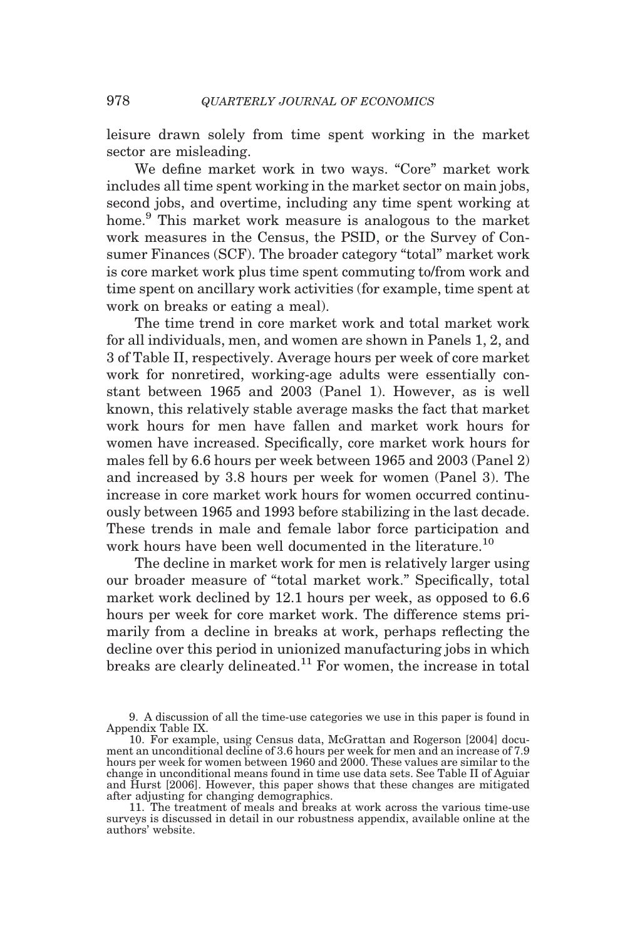leisure drawn solely from time spent working in the market sector are misleading.

We define market work in two ways. "Core" market work includes all time spent working in the market sector on main jobs, second jobs, and overtime, including any time spent working at home.<sup>9</sup> This market work measure is analogous to the market work measures in the Census, the PSID, or the Survey of Consumer Finances (SCF). The broader category "total" market work is core market work plus time spent commuting to/from work and time spent on ancillary work activities (for example, time spent at work on breaks or eating a meal).

The time trend in core market work and total market work for all individuals, men, and women are shown in Panels 1, 2, and 3 of Table II, respectively. Average hours per week of core market work for nonretired, working-age adults were essentially constant between 1965 and 2003 (Panel 1). However, as is well known, this relatively stable average masks the fact that market work hours for men have fallen and market work hours for women have increased. Specifically, core market work hours for males fell by 6.6 hours per week between 1965 and 2003 (Panel 2) and increased by 3.8 hours per week for women (Panel 3). The increase in core market work hours for women occurred continuously between 1965 and 1993 before stabilizing in the last decade. These trends in male and female labor force participation and work hours have been well documented in the literature.<sup>10</sup>

The decline in market work for men is relatively larger using our broader measure of "total market work." Specifically, total market work declined by 12.1 hours per week, as opposed to 6.6 hours per week for core market work. The difference stems primarily from a decline in breaks at work, perhaps reflecting the decline over this period in unionized manufacturing jobs in which breaks are clearly delineated.<sup>11</sup> For women, the increase in total

9. A discussion of all the time-use categories we use in this paper is found in Appendix Table IX.

11. The treatment of meals and breaks at work across the various time-use surveys is discussed in detail in our robustness appendix, available online at the authors' website.

<sup>10.</sup> For example, using Census data, McGrattan and Rogerson [2004] document an unconditional decline of 3.6 hours per week for men and an increase of 7.9 hours per week for women between 1960 and 2000. These values are similar to the change in unconditional means found in time use data sets. See Table II of Aguiar and Hurst [2006]. However, this paper shows that these changes are mitigated after adjusting for changing demographics.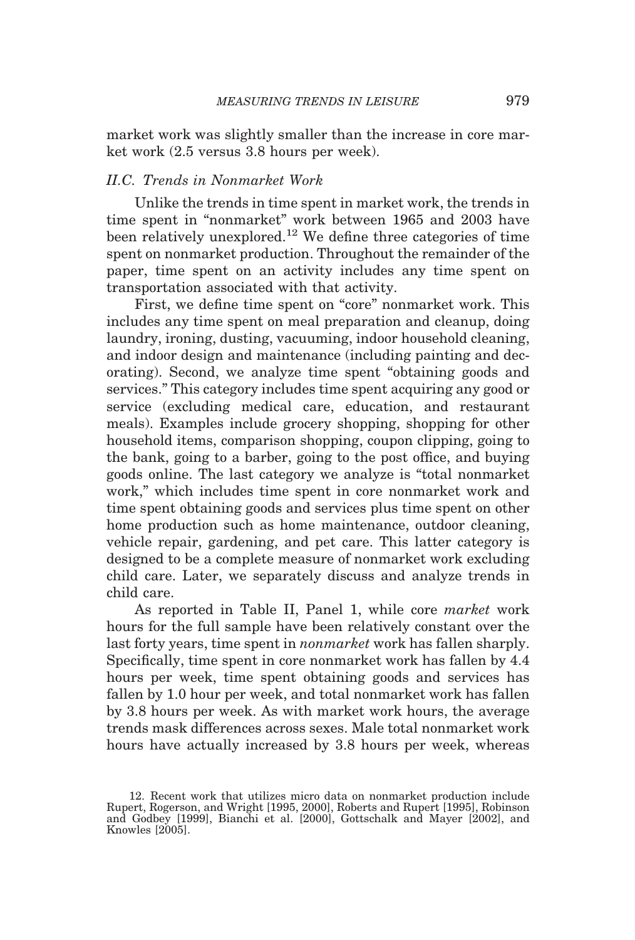market work was slightly smaller than the increase in core market work (2.5 versus 3.8 hours per week).

### *II.C. Trends in Nonmarket Work*

Unlike the trends in time spent in market work, the trends in time spent in "nonmarket" work between 1965 and 2003 have been relatively unexplored.<sup>12</sup> We define three categories of time spent on nonmarket production. Throughout the remainder of the paper, time spent on an activity includes any time spent on transportation associated with that activity.

First, we define time spent on "core" nonmarket work. This includes any time spent on meal preparation and cleanup, doing laundry, ironing, dusting, vacuuming, indoor household cleaning, and indoor design and maintenance (including painting and decorating). Second, we analyze time spent "obtaining goods and services." This category includes time spent acquiring any good or service (excluding medical care, education, and restaurant meals). Examples include grocery shopping, shopping for other household items, comparison shopping, coupon clipping, going to the bank, going to a barber, going to the post office, and buying goods online. The last category we analyze is "total nonmarket work," which includes time spent in core nonmarket work and time spent obtaining goods and services plus time spent on other home production such as home maintenance, outdoor cleaning, vehicle repair, gardening, and pet care. This latter category is designed to be a complete measure of nonmarket work excluding child care. Later, we separately discuss and analyze trends in child care.

As reported in Table II, Panel 1, while core *market* work hours for the full sample have been relatively constant over the last forty years, time spent in *nonmarket* work has fallen sharply. Specifically, time spent in core nonmarket work has fallen by 4.4 hours per week, time spent obtaining goods and services has fallen by 1.0 hour per week, and total nonmarket work has fallen by 3.8 hours per week. As with market work hours, the average trends mask differences across sexes. Male total nonmarket work hours have actually increased by 3.8 hours per week, whereas

<sup>12.</sup> Recent work that utilizes micro data on nonmarket production include Rupert, Rogerson, and Wright [1995, 2000], Roberts and Rupert [1995], Robinson and Godbey [1999], Bianchi et al. [2000], Gottschalk and Mayer [2002], and Knowles [2005].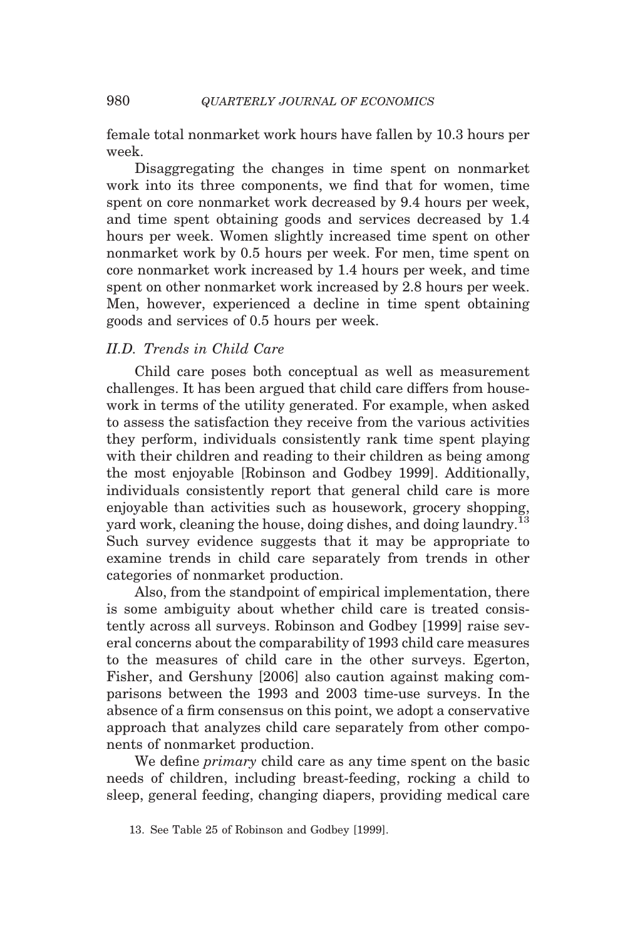female total nonmarket work hours have fallen by 10.3 hours per week.

Disaggregating the changes in time spent on nonmarket work into its three components, we find that for women, time spent on core nonmarket work decreased by 9.4 hours per week, and time spent obtaining goods and services decreased by 1.4 hours per week. Women slightly increased time spent on other nonmarket work by 0.5 hours per week. For men, time spent on core nonmarket work increased by 1.4 hours per week, and time spent on other nonmarket work increased by 2.8 hours per week. Men, however, experienced a decline in time spent obtaining goods and services of 0.5 hours per week.

### *II.D. Trends in Child Care*

Child care poses both conceptual as well as measurement challenges. It has been argued that child care differs from housework in terms of the utility generated. For example, when asked to assess the satisfaction they receive from the various activities they perform, individuals consistently rank time spent playing with their children and reading to their children as being among the most enjoyable [Robinson and Godbey 1999]. Additionally, individuals consistently report that general child care is more enjoyable than activities such as housework, grocery shopping, yard work, cleaning the house, doing dishes, and doing laundry.<sup>13</sup> Such survey evidence suggests that it may be appropriate to examine trends in child care separately from trends in other categories of nonmarket production.

Also, from the standpoint of empirical implementation, there is some ambiguity about whether child care is treated consistently across all surveys. Robinson and Godbey [1999] raise several concerns about the comparability of 1993 child care measures to the measures of child care in the other surveys. Egerton, Fisher, and Gershuny [2006] also caution against making comparisons between the 1993 and 2003 time-use surveys. In the absence of a firm consensus on this point, we adopt a conservative approach that analyzes child care separately from other components of nonmarket production.

We define *primary* child care as any time spent on the basic needs of children, including breast-feeding, rocking a child to sleep, general feeding, changing diapers, providing medical care

<sup>13.</sup> See Table 25 of Robinson and Godbey [1999].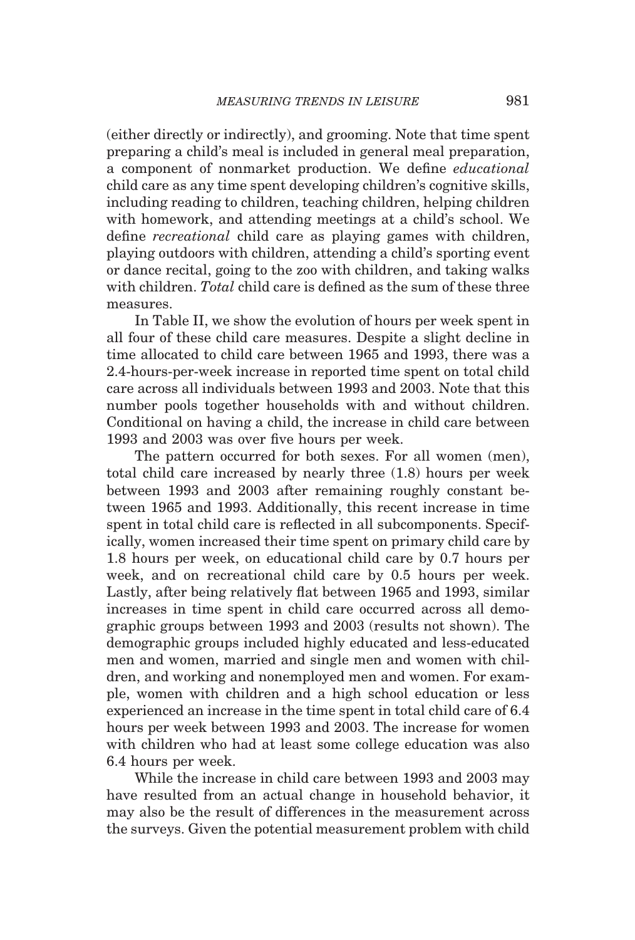(either directly or indirectly), and grooming. Note that time spent preparing a child's meal is included in general meal preparation, a component of nonmarket production. We define *educational* child care as any time spent developing children's cognitive skills, including reading to children, teaching children, helping children with homework, and attending meetings at a child's school. We define *recreational* child care as playing games with children, playing outdoors with children, attending a child's sporting event or dance recital, going to the zoo with children, and taking walks with children. *Total* child care is defined as the sum of these three measures.

In Table II, we show the evolution of hours per week spent in all four of these child care measures. Despite a slight decline in time allocated to child care between 1965 and 1993, there was a 2.4-hours-per-week increase in reported time spent on total child care across all individuals between 1993 and 2003. Note that this number pools together households with and without children. Conditional on having a child, the increase in child care between 1993 and 2003 was over five hours per week.

The pattern occurred for both sexes. For all women (men), total child care increased by nearly three (1.8) hours per week between 1993 and 2003 after remaining roughly constant between 1965 and 1993. Additionally, this recent increase in time spent in total child care is reflected in all subcomponents. Specifically, women increased their time spent on primary child care by 1.8 hours per week, on educational child care by 0.7 hours per week, and on recreational child care by 0.5 hours per week. Lastly, after being relatively flat between 1965 and 1993, similar increases in time spent in child care occurred across all demographic groups between 1993 and 2003 (results not shown). The demographic groups included highly educated and less-educated men and women, married and single men and women with children, and working and nonemployed men and women. For example, women with children and a high school education or less experienced an increase in the time spent in total child care of 6.4 hours per week between 1993 and 2003. The increase for women with children who had at least some college education was also 6.4 hours per week.

While the increase in child care between 1993 and 2003 may have resulted from an actual change in household behavior, it may also be the result of differences in the measurement across the surveys. Given the potential measurement problem with child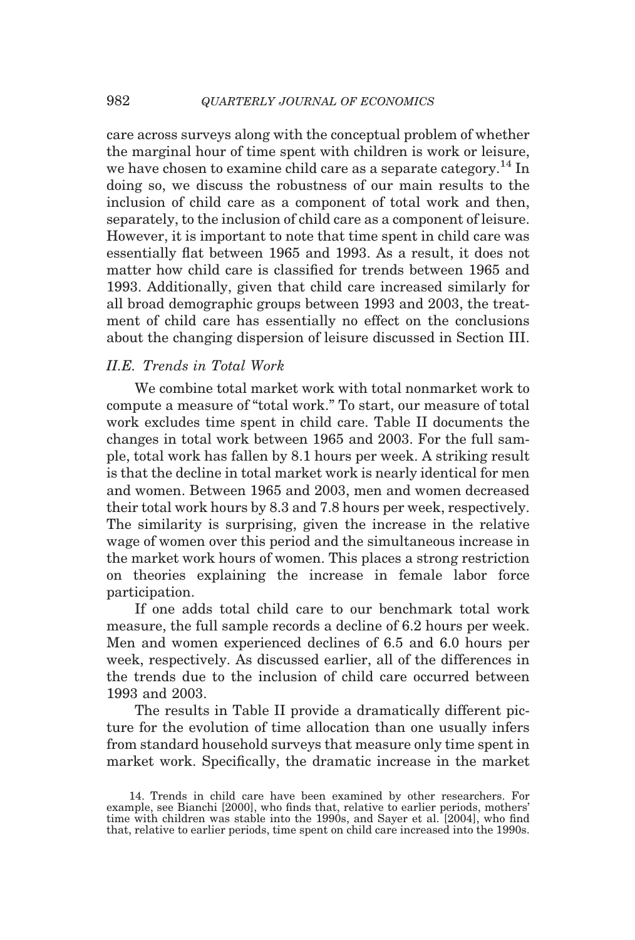care across surveys along with the conceptual problem of whether the marginal hour of time spent with children is work or leisure, we have chosen to examine child care as a separate category.<sup>14</sup> In doing so, we discuss the robustness of our main results to the inclusion of child care as a component of total work and then, separately, to the inclusion of child care as a component of leisure. However, it is important to note that time spent in child care was essentially flat between 1965 and 1993. As a result, it does not matter how child care is classified for trends between 1965 and 1993. Additionally, given that child care increased similarly for all broad demographic groups between 1993 and 2003, the treatment of child care has essentially no effect on the conclusions about the changing dispersion of leisure discussed in Section III.

### *II.E. Trends in Total Work*

We combine total market work with total nonmarket work to compute a measure of "total work." To start, our measure of total work excludes time spent in child care. Table II documents the changes in total work between 1965 and 2003. For the full sample, total work has fallen by 8.1 hours per week. A striking result is that the decline in total market work is nearly identical for men and women. Between 1965 and 2003, men and women decreased their total work hours by 8.3 and 7.8 hours per week, respectively. The similarity is surprising, given the increase in the relative wage of women over this period and the simultaneous increase in the market work hours of women. This places a strong restriction on theories explaining the increase in female labor force participation.

If one adds total child care to our benchmark total work measure, the full sample records a decline of 6.2 hours per week. Men and women experienced declines of 6.5 and 6.0 hours per week, respectively. As discussed earlier, all of the differences in the trends due to the inclusion of child care occurred between 1993 and 2003.

The results in Table II provide a dramatically different picture for the evolution of time allocation than one usually infers from standard household surveys that measure only time spent in market work. Specifically, the dramatic increase in the market

<sup>14.</sup> Trends in child care have been examined by other researchers. For example, see Bianchi [2000], who finds that, relative to earlier periods, mothers' time with children was stable into the 1990s, and Sayer et al. [2004], who find that, relative to earlier periods, time spent on child care increased into the 1990s.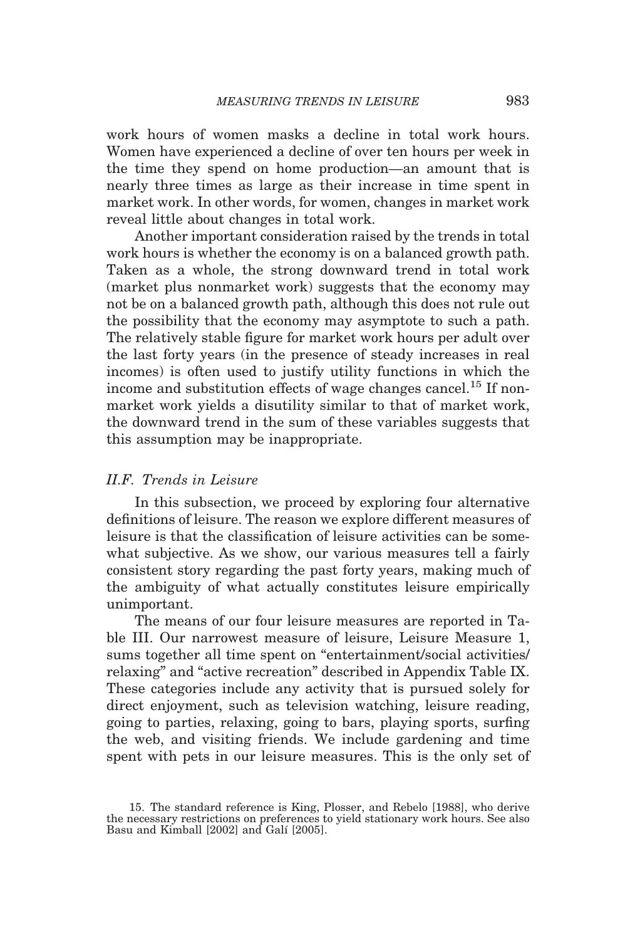work hours of women masks a decline in total work hours. Women have experienced a decline of over ten hours per week in the time they spend on home production—an amount that is nearly three times as large as their increase in time spent in market work. In other words, for women, changes in market work reveal little about changes in total work.

Another important consideration raised by the trends in total work hours is whether the economy is on a balanced growth path. Taken as a whole, the strong downward trend in total work (market plus nonmarket work) suggests that the economy may not be on a balanced growth path, although this does not rule out the possibility that the economy may asymptote to such a path. The relatively stable figure for market work hours per adult over the last forty years (in the presence of steady increases in real incomes) is often used to justify utility functions in which the income and substitution effects of wage changes cancel.<sup>15</sup> If nonmarket work yields a disutility similar to that of market work, the downward trend in the sum of these variables suggests that this assumption may be inappropriate.

### *II.F. Trends in Leisure*

In this subsection, we proceed by exploring four alternative definitions of leisure. The reason we explore different measures of leisure is that the classification of leisure activities can be somewhat subjective. As we show, our various measures tell a fairly consistent story regarding the past forty years, making much of the ambiguity of what actually constitutes leisure empirically unimportant.

The means of our four leisure measures are reported in Table III. Our narrowest measure of leisure, Leisure Measure 1, sums together all time spent on "entertainment/social activities/ relaxing" and "active recreation" described in Appendix Table IX. These categories include any activity that is pursued solely for direct enjoyment, such as television watching, leisure reading, going to parties, relaxing, going to bars, playing sports, surfing the web, and visiting friends. We include gardening and time spent with pets in our leisure measures. This is the only set of

<sup>15.</sup> The standard reference is King, Plosser, and Rebelo [1988], who derive the necessary restrictions on preferences to yield stationary work hours. See also Basu and Kimball [2002] and Gali [2005].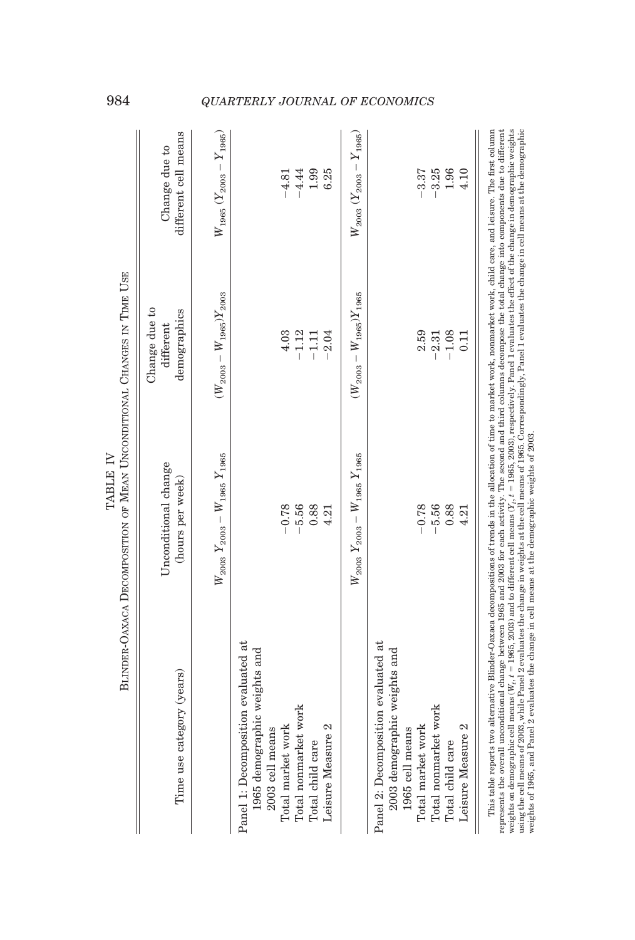|                                                                                                                                                                                                                                                                                                                                                                                                                                                                                                                                                                                                                                                                                                                                                                                                                                                                                      | BLINDER-OAXACA DECOMPOSITION OF MEAN UNCONDITIONAL CHANGES IN TIME USE<br>TABLE IV |                                            |                                              |
|--------------------------------------------------------------------------------------------------------------------------------------------------------------------------------------------------------------------------------------------------------------------------------------------------------------------------------------------------------------------------------------------------------------------------------------------------------------------------------------------------------------------------------------------------------------------------------------------------------------------------------------------------------------------------------------------------------------------------------------------------------------------------------------------------------------------------------------------------------------------------------------|------------------------------------------------------------------------------------|--------------------------------------------|----------------------------------------------|
| Time use category (years)                                                                                                                                                                                                                                                                                                                                                                                                                                                                                                                                                                                                                                                                                                                                                                                                                                                            | Unconditional change<br>(hours per week)                                           | Change due to<br>demographics<br>different | different cell means<br>Change due to        |
|                                                                                                                                                                                                                                                                                                                                                                                                                                                                                                                                                                                                                                                                                                                                                                                                                                                                                      | $W_{2003} \; Y_{2003} - W_{1965} \; Y_{1965}$                                      | $(W_{2003}-W_{1965})Y_{2003}$              | $W_{\rm 1965}$ $(Y_{\rm 2003}-Y_{\rm 1965})$ |
| Panel 1: Decomposition evaluated at<br>1965 demographic weights and<br>2003 cell means                                                                                                                                                                                                                                                                                                                                                                                                                                                                                                                                                                                                                                                                                                                                                                                               |                                                                                    |                                            |                                              |
| Total market work                                                                                                                                                                                                                                                                                                                                                                                                                                                                                                                                                                                                                                                                                                                                                                                                                                                                    | $-0.78$                                                                            | 4.03                                       | $-4.81$                                      |
| Total nonmarket work<br>Total child care                                                                                                                                                                                                                                                                                                                                                                                                                                                                                                                                                                                                                                                                                                                                                                                                                                             | $-5.56$<br>0.88                                                                    | $-1.12$<br>$-1.11$                         | 1.99<br>$-4.44$                              |
| Leisure Measure 2                                                                                                                                                                                                                                                                                                                                                                                                                                                                                                                                                                                                                                                                                                                                                                                                                                                                    | 4.21                                                                               | $-2.04$                                    | 6.25                                         |
|                                                                                                                                                                                                                                                                                                                                                                                                                                                                                                                                                                                                                                                                                                                                                                                                                                                                                      | $W_{2003}$ $Y_{2003}$ $ W_{1965}$ $Y_{1965}$                                       | $(W_{2003} - W_{1965})Y_{1965}$            | $W_{2003} (Y_{2003} - Y_{1965})$             |
| Panel 2: Decomposition evaluated at<br>2003 demographic weights and<br>1965 cell means                                                                                                                                                                                                                                                                                                                                                                                                                                                                                                                                                                                                                                                                                                                                                                                               |                                                                                    |                                            |                                              |
| Total market work                                                                                                                                                                                                                                                                                                                                                                                                                                                                                                                                                                                                                                                                                                                                                                                                                                                                    | $-0.78$                                                                            | 2.59                                       | $-3.37$                                      |
| Total nonmarket work                                                                                                                                                                                                                                                                                                                                                                                                                                                                                                                                                                                                                                                                                                                                                                                                                                                                 | $-5.56$                                                                            | $-2.31$                                    | $-3.25$                                      |
| Total child care                                                                                                                                                                                                                                                                                                                                                                                                                                                                                                                                                                                                                                                                                                                                                                                                                                                                     | 0.88                                                                               | $-1.08$                                    | 1.96                                         |
| Leisure Measure 2                                                                                                                                                                                                                                                                                                                                                                                                                                                                                                                                                                                                                                                                                                                                                                                                                                                                    | 4.21                                                                               | 0.11                                       | 4.10                                         |
| weights on demographic cell means (W <sub>1</sub> , t = 1965, 2003) and to different cell means (Y <sub>1</sub> , t = 1965, 2003), respectively. Panel 1 evaluates the effect of the change in demographic weights<br>This table reports two alternative Blinder-Oaxaca decompositions of trends in the allocation of time to market work, nomnarket work, child care, and leisure. The first column<br>represents the overall unconditional change between 1965 and 2003 for each activity. The second and third columns decompose the total change into components due to different<br>using the cell means of 2003, while Panel 2 evaluates the change in weights at the cell means of 1965. Correspondingly, Panel 1 evaluates the change in cell means at the demographic<br>weights of 1965, and Panel 2 evaluates the change in cell means at the demographic weights of 2003 |                                                                                    |                                            |                                              |

# 984 *QUARTERLY JOURNAL OF ECONOMICS*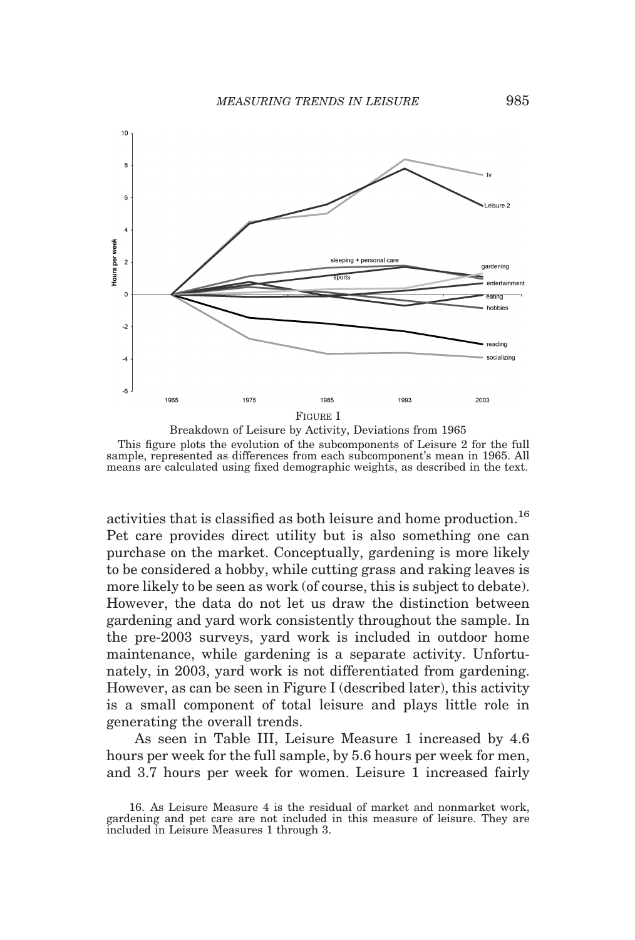

This figure plots the evolution of the subcomponents of Leisure 2 for the full sample, represented as differences from each subcomponent's mean in 1965. All means are calculated using fixed demographic weights, as described in the text.

activities that is classified as both leisure and home production.<sup>16</sup> Pet care provides direct utility but is also something one can purchase on the market. Conceptually, gardening is more likely to be considered a hobby, while cutting grass and raking leaves is more likely to be seen as work (of course, this is subject to debate). However, the data do not let us draw the distinction between gardening and yard work consistently throughout the sample. In the pre-2003 surveys, yard work is included in outdoor home maintenance, while gardening is a separate activity. Unfortunately, in 2003, yard work is not differentiated from gardening. However, as can be seen in Figure I (described later), this activity is a small component of total leisure and plays little role in generating the overall trends.

As seen in Table III, Leisure Measure 1 increased by 4.6 hours per week for the full sample, by 5.6 hours per week for men, and 3.7 hours per week for women. Leisure 1 increased fairly

<sup>16.</sup> As Leisure Measure 4 is the residual of market and nonmarket work, gardening and pet care are not included in this measure of leisure. They are included in Leisure Measures 1 through 3.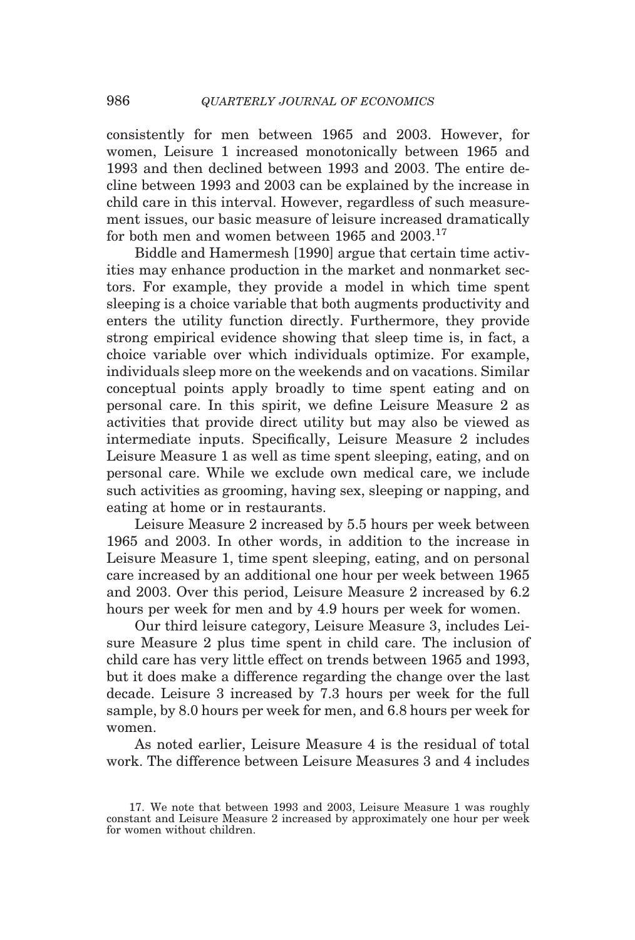consistently for men between 1965 and 2003. However, for women, Leisure 1 increased monotonically between 1965 and 1993 and then declined between 1993 and 2003. The entire decline between 1993 and 2003 can be explained by the increase in child care in this interval. However, regardless of such measurement issues, our basic measure of leisure increased dramatically for both men and women between 1965 and  $2003.<sup>17</sup>$ 

Biddle and Hamermesh [1990] argue that certain time activities may enhance production in the market and nonmarket sectors. For example, they provide a model in which time spent sleeping is a choice variable that both augments productivity and enters the utility function directly. Furthermore, they provide strong empirical evidence showing that sleep time is, in fact, a choice variable over which individuals optimize. For example, individuals sleep more on the weekends and on vacations. Similar conceptual points apply broadly to time spent eating and on personal care. In this spirit, we define Leisure Measure 2 as activities that provide direct utility but may also be viewed as intermediate inputs. Specifically, Leisure Measure 2 includes Leisure Measure 1 as well as time spent sleeping, eating, and on personal care. While we exclude own medical care, we include such activities as grooming, having sex, sleeping or napping, and eating at home or in restaurants.

Leisure Measure 2 increased by 5.5 hours per week between 1965 and 2003. In other words, in addition to the increase in Leisure Measure 1, time spent sleeping, eating, and on personal care increased by an additional one hour per week between 1965 and 2003. Over this period, Leisure Measure 2 increased by 6.2 hours per week for men and by 4.9 hours per week for women.

Our third leisure category, Leisure Measure 3, includes Leisure Measure 2 plus time spent in child care. The inclusion of child care has very little effect on trends between 1965 and 1993, but it does make a difference regarding the change over the last decade. Leisure 3 increased by 7.3 hours per week for the full sample, by 8.0 hours per week for men, and 6.8 hours per week for women.

As noted earlier, Leisure Measure 4 is the residual of total work. The difference between Leisure Measures 3 and 4 includes

<sup>17.</sup> We note that between 1993 and 2003, Leisure Measure 1 was roughly constant and Leisure Measure 2 increased by approximately one hour per week for women without children.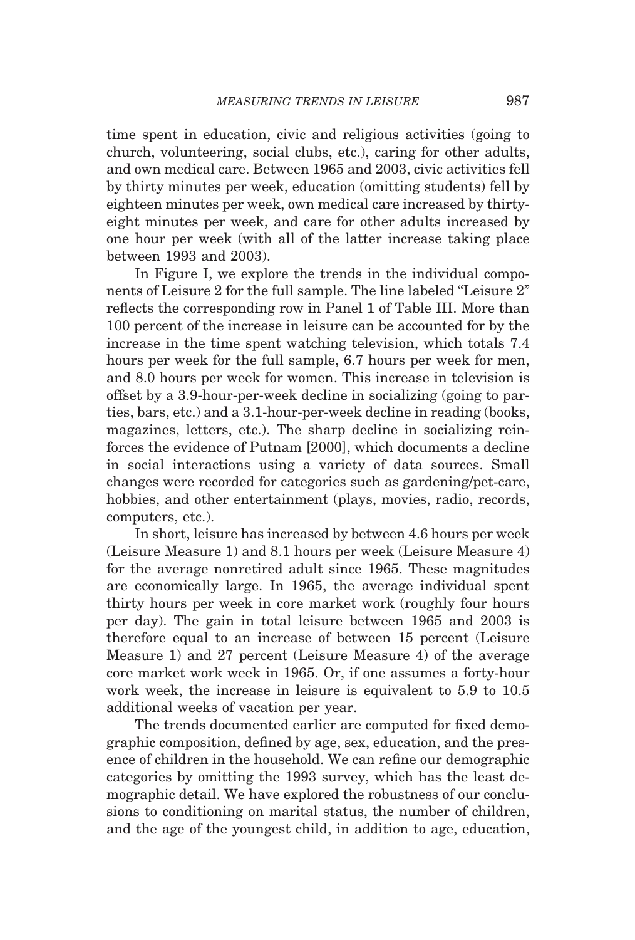time spent in education, civic and religious activities (going to church, volunteering, social clubs, etc.), caring for other adults, and own medical care. Between 1965 and 2003, civic activities fell by thirty minutes per week, education (omitting students) fell by eighteen minutes per week, own medical care increased by thirtyeight minutes per week, and care for other adults increased by one hour per week (with all of the latter increase taking place between 1993 and 2003).

In Figure I, we explore the trends in the individual components of Leisure 2 for the full sample. The line labeled "Leisure 2" reflects the corresponding row in Panel 1 of Table III. More than 100 percent of the increase in leisure can be accounted for by the increase in the time spent watching television, which totals 7.4 hours per week for the full sample, 6.7 hours per week for men, and 8.0 hours per week for women. This increase in television is offset by a 3.9-hour-per-week decline in socializing (going to parties, bars, etc.) and a 3.1-hour-per-week decline in reading (books, magazines, letters, etc.). The sharp decline in socializing reinforces the evidence of Putnam [2000], which documents a decline in social interactions using a variety of data sources. Small changes were recorded for categories such as gardening/pet-care, hobbies, and other entertainment (plays, movies, radio, records, computers, etc.).

In short, leisure has increased by between 4.6 hours per week (Leisure Measure 1) and 8.1 hours per week (Leisure Measure 4) for the average nonretired adult since 1965. These magnitudes are economically large. In 1965, the average individual spent thirty hours per week in core market work (roughly four hours per day). The gain in total leisure between 1965 and 2003 is therefore equal to an increase of between 15 percent (Leisure Measure 1) and 27 percent (Leisure Measure 4) of the average core market work week in 1965. Or, if one assumes a forty-hour work week, the increase in leisure is equivalent to 5.9 to 10.5 additional weeks of vacation per year.

The trends documented earlier are computed for fixed demographic composition, defined by age, sex, education, and the presence of children in the household. We can refine our demographic categories by omitting the 1993 survey, which has the least demographic detail. We have explored the robustness of our conclusions to conditioning on marital status, the number of children, and the age of the youngest child, in addition to age, education,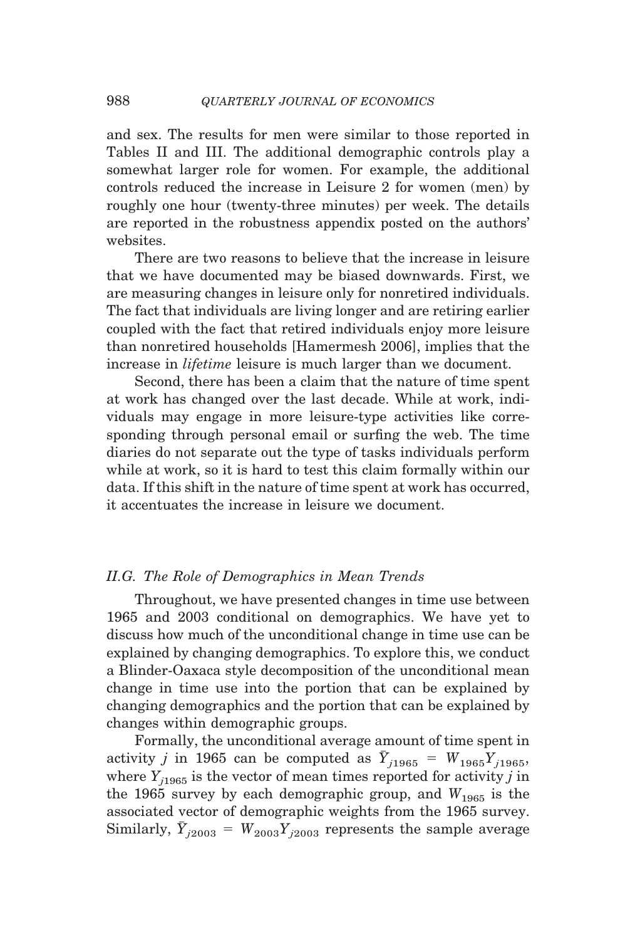and sex. The results for men were similar to those reported in Tables II and III. The additional demographic controls play a somewhat larger role for women. For example, the additional controls reduced the increase in Leisure 2 for women (men) by roughly one hour (twenty-three minutes) per week. The details are reported in the robustness appendix posted on the authors' websites.

There are two reasons to believe that the increase in leisure that we have documented may be biased downwards. First, we are measuring changes in leisure only for nonretired individuals. The fact that individuals are living longer and are retiring earlier coupled with the fact that retired individuals enjoy more leisure than nonretired households [Hamermesh 2006], implies that the increase in *lifetime* leisure is much larger than we document.

Second, there has been a claim that the nature of time spent at work has changed over the last decade. While at work, individuals may engage in more leisure-type activities like corresponding through personal email or surfing the web. The time diaries do not separate out the type of tasks individuals perform while at work, so it is hard to test this claim formally within our data. If this shift in the nature of time spent at work has occurred, it accentuates the increase in leisure we document.

### *II.G. The Role of Demographics in Mean Trends*

Throughout, we have presented changes in time use between 1965 and 2003 conditional on demographics. We have yet to discuss how much of the unconditional change in time use can be explained by changing demographics. To explore this, we conduct a Blinder-Oaxaca style decomposition of the unconditional mean change in time use into the portion that can be explained by changing demographics and the portion that can be explained by changes within demographic groups.

Formally, the unconditional average amount of time spent in activity *j* in 1965 can be computed as  $\bar{Y}_{j1965} = W_{1965}Y_{j1965}$ , where  $Y_{j1965}$  is the vector of mean times reported for activity *j* in the 1965 survey by each demographic group, and  $W_{1965}$  is the associated vector of demographic weights from the 1965 survey. Similarly,  $\bar{Y}_{i2003} = W_{2003}Y_{i2003}$  represents the sample average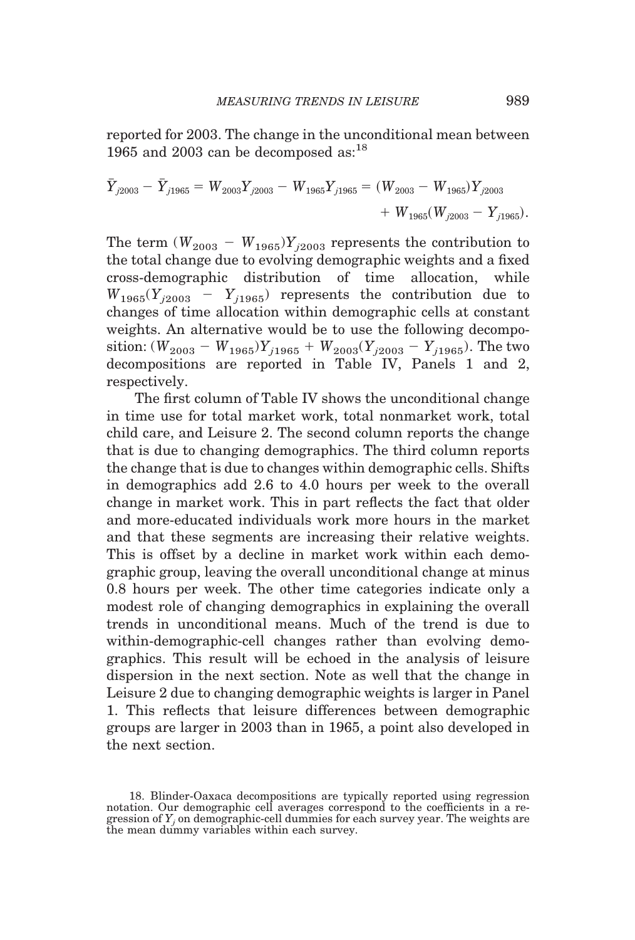reported for 2003. The change in the unconditional mean between  $1965$  and  $2003$  can be decomposed as:  $^{18}$ 

$$
\bar{Y}_{j2003} - \bar{Y}_{j1965} = W_{2003}Y_{j2003} - W_{1965}Y_{j1965} = (W_{2003} - W_{1965})Y_{j2003} \n+ W_{1965}(W_{j2003} - Y_{j1965}).
$$

The term  $(W_{2003} - W_{1965})Y_{j2003}$  represents the contribution to the total change due to evolving demographic weights and a fixed cross-demographic distribution of time allocation, while  $W_{1965}(Y_{i2003} - Y_{i1965})$  represents the contribution due to changes of time allocation within demographic cells at constant weights. An alternative would be to use the following decomposition:  $(W_{2003} - W_{1965})Y_{j1965} + W_{2003}(Y_{j2003} - Y_{j1965})$ . The two decompositions are reported in Table IV, Panels 1 and 2, respectively.

The first column of Table IV shows the unconditional change in time use for total market work, total nonmarket work, total child care, and Leisure 2. The second column reports the change that is due to changing demographics. The third column reports the change that is due to changes within demographic cells. Shifts in demographics add 2.6 to 4.0 hours per week to the overall change in market work. This in part reflects the fact that older and more-educated individuals work more hours in the market and that these segments are increasing their relative weights. This is offset by a decline in market work within each demographic group, leaving the overall unconditional change at minus 0.8 hours per week. The other time categories indicate only a modest role of changing demographics in explaining the overall trends in unconditional means. Much of the trend is due to within-demographic-cell changes rather than evolving demographics. This result will be echoed in the analysis of leisure dispersion in the next section. Note as well that the change in Leisure 2 due to changing demographic weights is larger in Panel 1. This reflects that leisure differences between demographic groups are larger in 2003 than in 1965, a point also developed in the next section.

<sup>18.</sup> Blinder-Oaxaca decompositions are typically reported using regression notation. Our demographic cell averages correspond to the coefficients in a regression of *Yj* on demographic-cell dummies for each survey year. The weights are the mean dummy variables within each survey.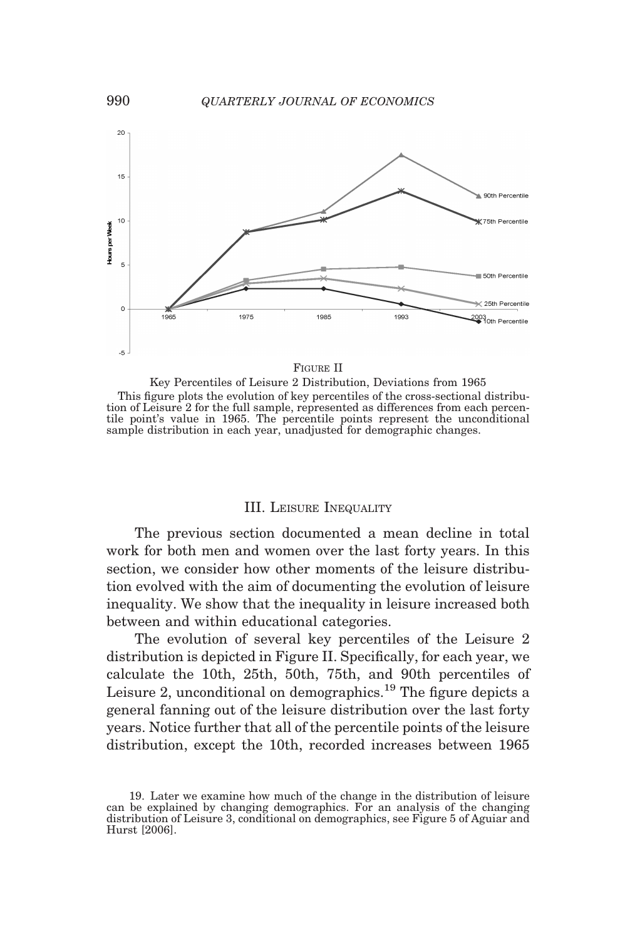

#### FIGURE II

Key Percentiles of Leisure 2 Distribution, Deviations from 1965 This figure plots the evolution of key percentiles of the cross-sectional distribution of Leisure 2 for the full sample, represented as differences from each percentile point's value in 1965. The percentile points represent the unconditional sample distribution in each year, unadjusted for demographic changes.

### III. LEISURE INEQUALITY

The previous section documented a mean decline in total work for both men and women over the last forty years. In this section, we consider how other moments of the leisure distribution evolved with the aim of documenting the evolution of leisure inequality. We show that the inequality in leisure increased both between and within educational categories.

The evolution of several key percentiles of the Leisure 2 distribution is depicted in Figure II. Specifically, for each year, we calculate the 10th, 25th, 50th, 75th, and 90th percentiles of Leisure 2, unconditional on demographics.<sup>19</sup> The figure depicts a general fanning out of the leisure distribution over the last forty years. Notice further that all of the percentile points of the leisure distribution, except the 10th, recorded increases between 1965

<sup>19.</sup> Later we examine how much of the change in the distribution of leisure can be explained by changing demographics. For an analysis of the changing distribution of Leisure 3, conditional on demographics, see Figure 5 of Aguiar and Hurst [2006].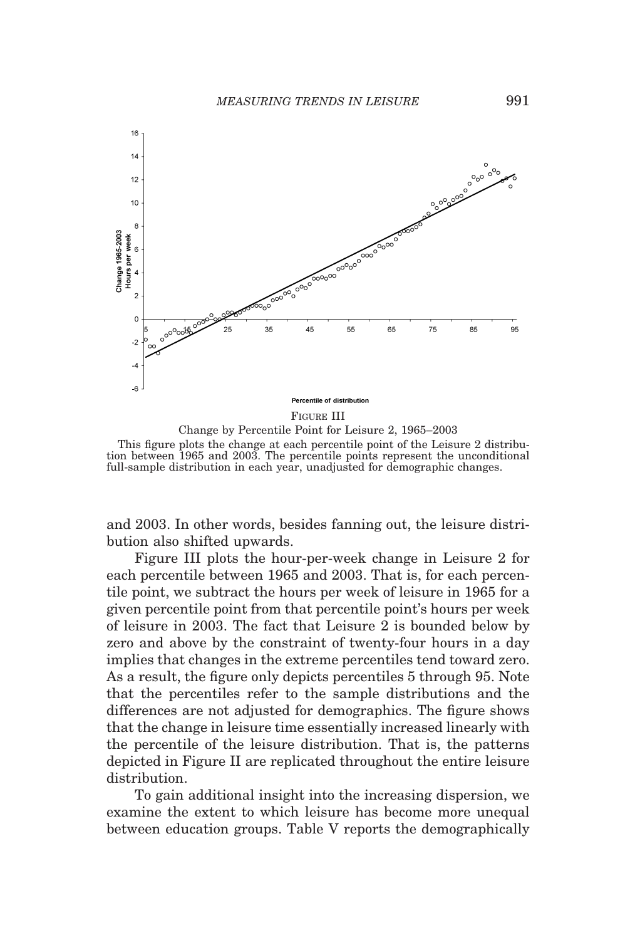

This figure plots the change at each percentile point of the Leisure 2 distribution between 1965 and 2003. The percentile points represent the unconditional full-sample distribution in each year, unadjusted for demographic changes.

and 2003. In other words, besides fanning out, the leisure distribution also shifted upwards.

Figure III plots the hour-per-week change in Leisure 2 for each percentile between 1965 and 2003. That is, for each percentile point, we subtract the hours per week of leisure in 1965 for a given percentile point from that percentile point's hours per week of leisure in 2003. The fact that Leisure 2 is bounded below by zero and above by the constraint of twenty-four hours in a day implies that changes in the extreme percentiles tend toward zero. As a result, the figure only depicts percentiles 5 through 95. Note that the percentiles refer to the sample distributions and the differences are not adjusted for demographics. The figure shows that the change in leisure time essentially increased linearly with the percentile of the leisure distribution. That is, the patterns depicted in Figure II are replicated throughout the entire leisure distribution.

To gain additional insight into the increasing dispersion, we examine the extent to which leisure has become more unequal between education groups. Table V reports the demographically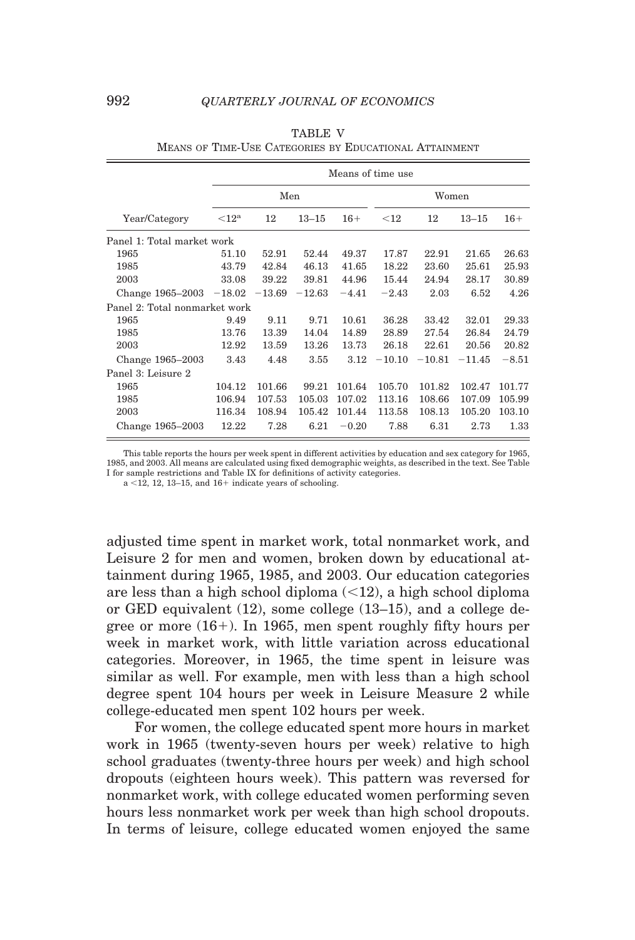|                               |                     |          |           |         | Means of time use |          |           |         |
|-------------------------------|---------------------|----------|-----------|---------|-------------------|----------|-----------|---------|
|                               |                     | Men      |           |         |                   | Women    |           |         |
| Year/Category                 | $<$ 12 <sup>a</sup> | 12       | $13 - 15$ | $16+$   | $<$ 12            | 12       | $13 - 15$ | $16+$   |
| Panel 1: Total market work    |                     |          |           |         |                   |          |           |         |
| 1965                          | 51.10               | 52.91    | 52.44     | 49.37   | 17.87             | 22.91    | 21.65     | 26.63   |
| 1985                          | 43.79               | 42.84    | 46.13     | 41.65   | 18.22             | 23.60    | 25.61     | 25.93   |
| 2003                          | 33.08               | 39.22    | 39.81     | 44.96   | 15.44             | 24.94    | 28.17     | 30.89   |
| Change 1965–2003              | $-18.02$            | $-13.69$ | $-12.63$  | $-4.41$ | $-2.43$           | 2.03     | 6.52      | 4.26    |
| Panel 2: Total nonmarket work |                     |          |           |         |                   |          |           |         |
| 1965                          | 9.49                | 9.11     | 9.71      | 10.61   | 36.28             | 33.42    | 32.01     | 29.33   |
| 1985                          | 13.76               | 13.39    | 14.04     | 14.89   | 28.89             | 27.54    | 26.84     | 24.79   |
| 2003                          | 12.92               | 13.59    | 13.26     | 13.73   | 26.18             | 22.61    | 20.56     | 20.82   |
| Change 1965–2003              | 3.43                | 4.48     | 3.55      | 3.12    | $-10.10$          | $-10.81$ | $-11.45$  | $-8.51$ |
| Panel 3: Leisure 2            |                     |          |           |         |                   |          |           |         |
| 1965                          | 104.12              | 101.66   | 99.21     | 101.64  | 105.70            | 101.82   | 102.47    | 101.77  |
| 1985                          | 106.94              | 107.53   | 105.03    | 107.02  | 113.16            | 108.66   | 107.09    | 105.99  |
| 2003                          | 116.34              | 108.94   | 105.42    | 101.44  | 113.58            | 108.13   | 105.20    | 103.10  |
| Change 1965–2003              | 12.22               | 7.28     | 6.21      | $-0.20$ | 7.88              | 6.31     | 2.73      | 1.33    |

| TABLE V |                                                        |
|---------|--------------------------------------------------------|
|         | MEANS OF TIME-USE CATEGORIES BY EDUCATIONAL ATTAINMENT |

This table reports the hours per week spent in different activities by education and sex category for 1965, 1985, and 2003. All means are calculated using fixed demographic weights, as described in the text. See Table I for sample restrictions and Table IX for definitions of activity categories.

a  $12$ , 12, 13–15, and 16+ indicate years of schooling.

adjusted time spent in market work, total nonmarket work, and Leisure 2 for men and women, broken down by educational attainment during 1965, 1985, and 2003. Our education categories are less than a high school diploma  $\langle 12 \rangle$ , a high school diploma or GED equivalent (12), some college (13–15), and a college degree or more  $(16+)$ . In 1965, men spent roughly fifty hours per week in market work, with little variation across educational categories. Moreover, in 1965, the time spent in leisure was similar as well. For example, men with less than a high school degree spent 104 hours per week in Leisure Measure 2 while college-educated men spent 102 hours per week.

For women, the college educated spent more hours in market work in 1965 (twenty-seven hours per week) relative to high school graduates (twenty-three hours per week) and high school dropouts (eighteen hours week). This pattern was reversed for nonmarket work, with college educated women performing seven hours less nonmarket work per week than high school dropouts. In terms of leisure, college educated women enjoyed the same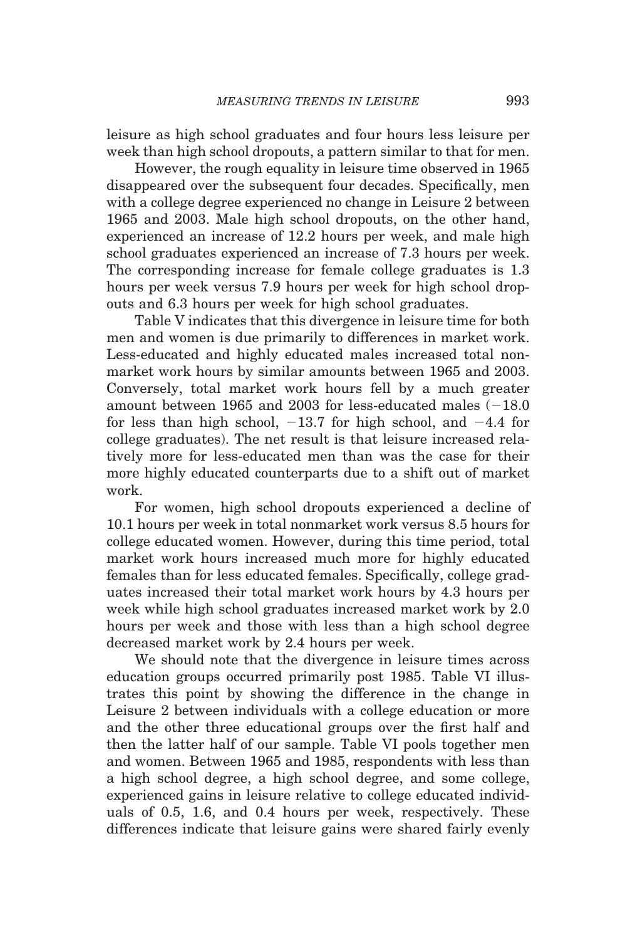leisure as high school graduates and four hours less leisure per week than high school dropouts, a pattern similar to that for men.

However, the rough equality in leisure time observed in 1965 disappeared over the subsequent four decades. Specifically, men with a college degree experienced no change in Leisure 2 between 1965 and 2003. Male high school dropouts, on the other hand, experienced an increase of 12.2 hours per week, and male high school graduates experienced an increase of 7.3 hours per week. The corresponding increase for female college graduates is 1.3 hours per week versus 7.9 hours per week for high school dropouts and 6.3 hours per week for high school graduates.

Table V indicates that this divergence in leisure time for both men and women is due primarily to differences in market work. Less-educated and highly educated males increased total nonmarket work hours by similar amounts between 1965 and 2003. Conversely, total market work hours fell by a much greater amount between 1965 and 2003 for less-educated males  $(-18.0$ for less than high school,  $-13.7$  for high school, and  $-4.4$  for college graduates). The net result is that leisure increased relatively more for less-educated men than was the case for their more highly educated counterparts due to a shift out of market work.

For women, high school dropouts experienced a decline of 10.1 hours per week in total nonmarket work versus 8.5 hours for college educated women. However, during this time period, total market work hours increased much more for highly educated females than for less educated females. Specifically, college graduates increased their total market work hours by 4.3 hours per week while high school graduates increased market work by 2.0 hours per week and those with less than a high school degree decreased market work by 2.4 hours per week.

We should note that the divergence in leisure times across education groups occurred primarily post 1985. Table VI illustrates this point by showing the difference in the change in Leisure 2 between individuals with a college education or more and the other three educational groups over the first half and then the latter half of our sample. Table VI pools together men and women. Between 1965 and 1985, respondents with less than a high school degree, a high school degree, and some college, experienced gains in leisure relative to college educated individuals of 0.5, 1.6, and 0.4 hours per week, respectively. These differences indicate that leisure gains were shared fairly evenly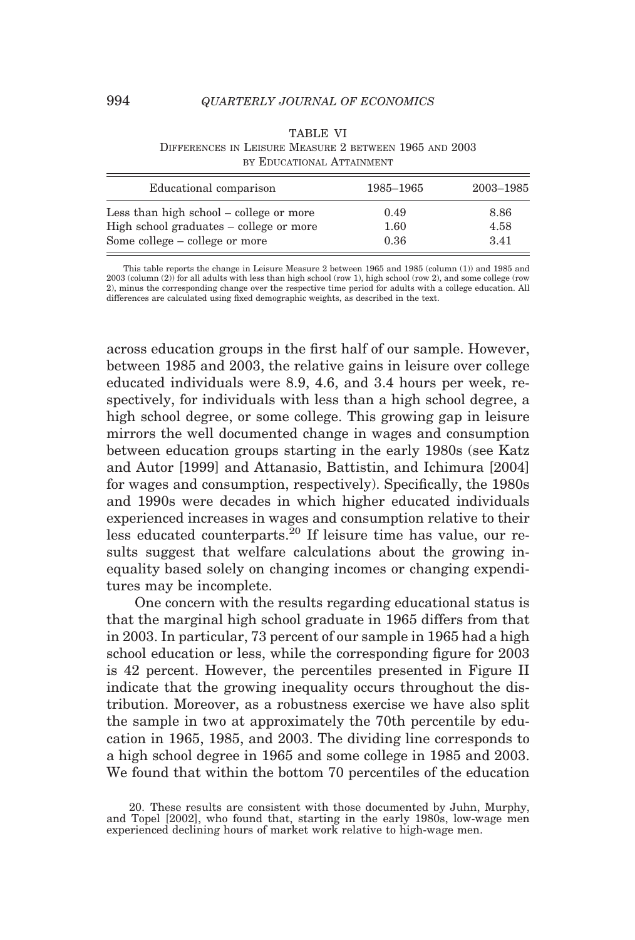| DIFFERENCES IN LEISURE MEASURE Z BETWEEN 1965 AND ZUU3<br>BY EDUCATIONAL ATTAINMENT |           |           |
|-------------------------------------------------------------------------------------|-----------|-----------|
| Educational comparison                                                              | 1985–1965 | 2003-1985 |
| Less than high school – college or more                                             | 0.49      | 8.86      |
| High school graduates – college or more                                             | 1.60      | 4.58      |
| Some college – college or more                                                      | 0.36      | 3.41      |

TABLE VI DIFFERENCES IN LEISURE MEASURE 2 BETWEEN 1965 AND 2003

This table reports the change in Leisure Measure 2 between 1965 and 1985 (column (1)) and 1985 and 2003 (column (2)) for all adults with less than high school (row 1), high school (row 2), and some college (row 2), minus the corresponding change over the respective time period for adults with a college education. All differences are calculated using fixed demographic weights, as described in the text.

across education groups in the first half of our sample. However, between 1985 and 2003, the relative gains in leisure over college educated individuals were 8.9, 4.6, and 3.4 hours per week, respectively, for individuals with less than a high school degree, a high school degree, or some college. This growing gap in leisure mirrors the well documented change in wages and consumption between education groups starting in the early 1980s (see Katz and Autor [1999] and Attanasio, Battistin, and Ichimura [2004] for wages and consumption, respectively). Specifically, the 1980s and 1990s were decades in which higher educated individuals experienced increases in wages and consumption relative to their less educated counterparts.<sup>20</sup> If leisure time has value, our results suggest that welfare calculations about the growing inequality based solely on changing incomes or changing expenditures may be incomplete.

One concern with the results regarding educational status is that the marginal high school graduate in 1965 differs from that in 2003. In particular, 73 percent of our sample in 1965 had a high school education or less, while the corresponding figure for 2003 is 42 percent. However, the percentiles presented in Figure II indicate that the growing inequality occurs throughout the distribution. Moreover, as a robustness exercise we have also split the sample in two at approximately the 70th percentile by education in 1965, 1985, and 2003. The dividing line corresponds to a high school degree in 1965 and some college in 1985 and 2003. We found that within the bottom 70 percentiles of the education

20. These results are consistent with those documented by Juhn, Murphy, and Topel [2002], who found that, starting in the early 1980s, low-wage men experienced declining hours of market work relative to high-wage men.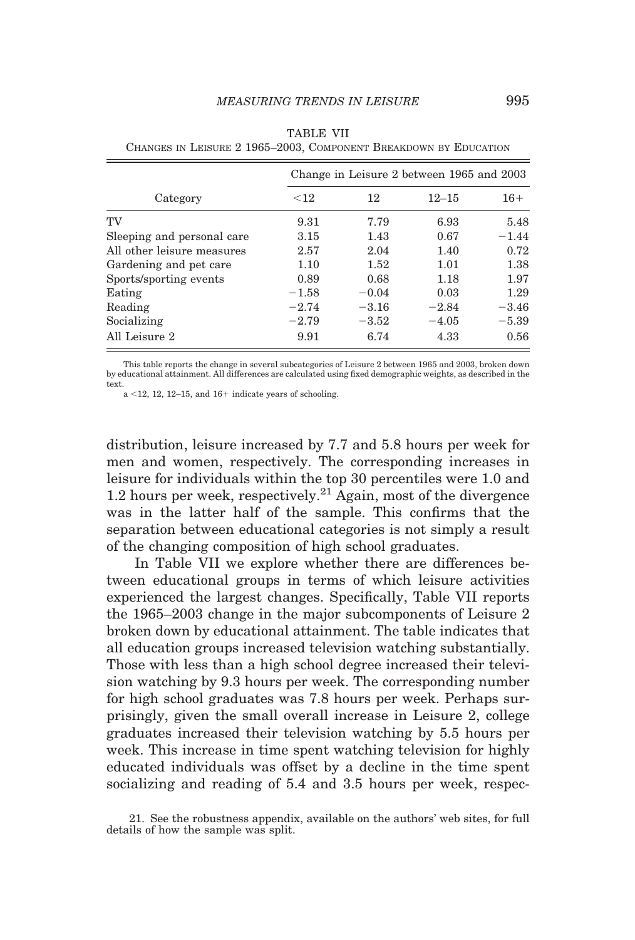|                            |         |         | Change in Leisure 2 between 1965 and 2003 |         |
|----------------------------|---------|---------|-------------------------------------------|---------|
| Category                   | ${<}12$ | 12      | $12 - 15$                                 | $16+$   |
| TV                         | 9.31    | 7.79    | 6.93                                      | 5.48    |
| Sleeping and personal care | 3.15    | 1.43    | 0.67                                      | $-1.44$ |
| All other leisure measures | 2.57    | 2.04    | 1.40                                      | 0.72    |
| Gardening and pet care     | 1.10    | 1.52    | 1.01                                      | 1.38    |
| Sports/sporting events     | 0.89    | 0.68    | 1.18                                      | 1.97    |
| Eating                     | $-1.58$ | $-0.04$ | 0.03                                      | 1.29    |
| Reading                    | $-2.74$ | $-3.16$ | $-2.84$                                   | $-3.46$ |
| Socializing                | $-2.79$ | $-3.52$ | $-4.05$                                   | $-5.39$ |
| All Leisure 2              | 9.91    | 6.74    | 4.33                                      | 0.56    |

TABLE VII CHANGES IN LEISURE 2 1965–2003, COMPONENT BREAKDOWN BY EDUCATION

This table reports the change in several subcategories of Leisure 2 between 1965 and 2003, broken down by educational attainment. All differences are calculated using fixed demographic weights, as described in the text.

 $a < 12$ , 12, 12–15, and 16+ indicate years of schooling.

distribution, leisure increased by 7.7 and 5.8 hours per week for men and women, respectively. The corresponding increases in leisure for individuals within the top 30 percentiles were 1.0 and 1.2 hours per week, respectively.<sup>21</sup> Again, most of the divergence was in the latter half of the sample. This confirms that the separation between educational categories is not simply a result of the changing composition of high school graduates.

In Table VII we explore whether there are differences between educational groups in terms of which leisure activities experienced the largest changes. Specifically, Table VII reports the 1965–2003 change in the major subcomponents of Leisure 2 broken down by educational attainment. The table indicates that all education groups increased television watching substantially. Those with less than a high school degree increased their television watching by 9.3 hours per week. The corresponding number for high school graduates was 7.8 hours per week. Perhaps surprisingly, given the small overall increase in Leisure 2, college graduates increased their television watching by 5.5 hours per week. This increase in time spent watching television for highly educated individuals was offset by a decline in the time spent socializing and reading of 5.4 and 3.5 hours per week, respec-

<sup>21.</sup> See the robustness appendix, available on the authors' web sites, for full details of how the sample was split.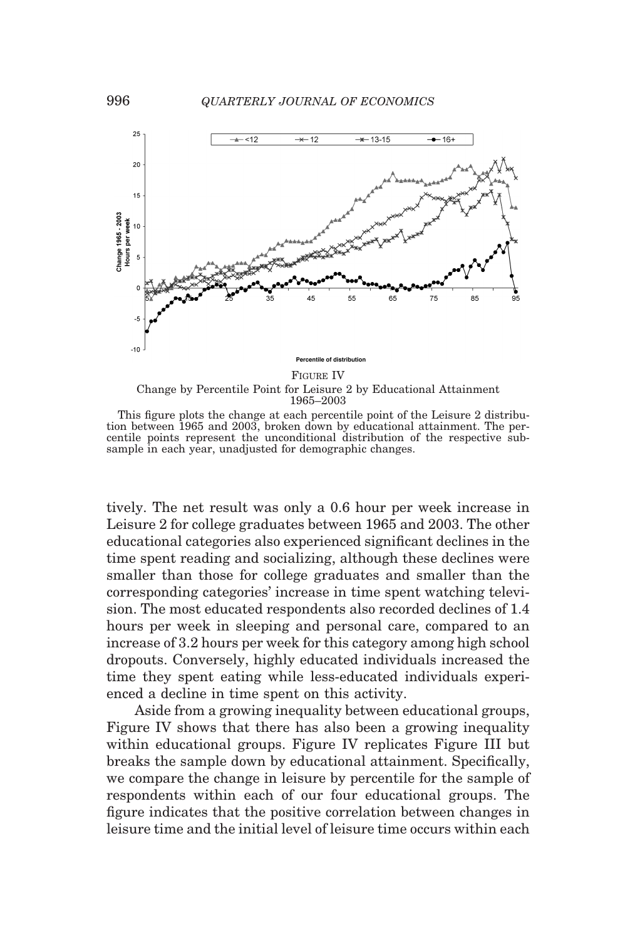

This figure plots the change at each percentile point of the Leisure 2 distribution between 1965 and 2003, broken down by educational attainment. The percentile points represent the unconditional distribution of the respective subsample in each year, unadjusted for demographic changes.

tively. The net result was only a 0.6 hour per week increase in Leisure 2 for college graduates between 1965 and 2003. The other educational categories also experienced significant declines in the time spent reading and socializing, although these declines were smaller than those for college graduates and smaller than the corresponding categories' increase in time spent watching television. The most educated respondents also recorded declines of 1.4 hours per week in sleeping and personal care, compared to an increase of 3.2 hours per week for this category among high school dropouts. Conversely, highly educated individuals increased the time they spent eating while less-educated individuals experienced a decline in time spent on this activity.

Aside from a growing inequality between educational groups, Figure IV shows that there has also been a growing inequality within educational groups. Figure IV replicates Figure III but breaks the sample down by educational attainment. Specifically, we compare the change in leisure by percentile for the sample of respondents within each of our four educational groups. The figure indicates that the positive correlation between changes in leisure time and the initial level of leisure time occurs within each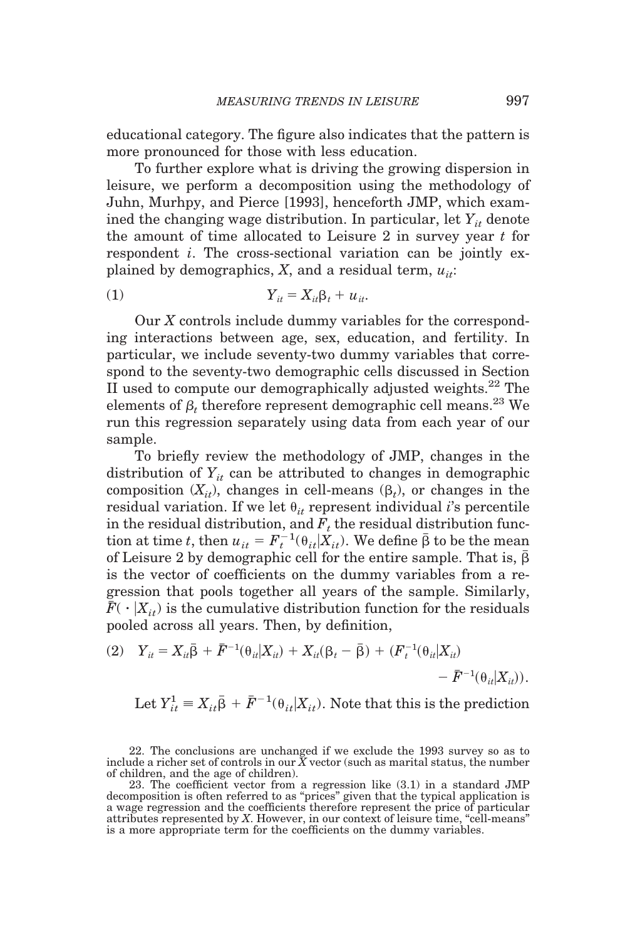educational category. The figure also indicates that the pattern is more pronounced for those with less education.

To further explore what is driving the growing dispersion in leisure, we perform a decomposition using the methodology of Juhn, Murhpy, and Pierce [1993], henceforth JMP, which examined the changing wage distribution. In particular, let  $Y_{it}$  denote the amount of time allocated to Leisure 2 in survey year *t* for respondent *i*. The cross-sectional variation can be jointly explained by demographics,  $X$ , and a residual term,  $u_{it}$ :

$$
(1) \t Y_{it} = X_{it} \beta_t + u_{it}.
$$

Our *X* controls include dummy variables for the corresponding interactions between age, sex, education, and fertility. In particular, we include seventy-two dummy variables that correspond to the seventy-two demographic cells discussed in Section II used to compute our demographically adjusted weights.<sup>22</sup> The elements of  $\beta_t$ , therefore represent demographic cell means.<sup>23</sup> We run this regression separately using data from each year of our sample.

To briefly review the methodology of JMP, changes in the distribution of  $Y_{it}$  can be attributed to changes in demographic composition  $(X_{it})$ , changes in cell-means  $(\beta_t)$ , or changes in the residual variation. If we let  $\theta_{it}$  represent individual  $i$ 's percentile in the residual distribution, and  $F_t$  the residual distribution function at time *t*, then  $u_{it} = F_t^{-1}(\theta_{it} | \hat{X}_{it})$ . We define  $\bar{\beta}$  to be the mean of Leisure 2 by demographic cell for the entire sample. That is,  $\beta$ is the vector of coefficients on the dummy variables from a regression that pools together all years of the sample. Similarly,  $\bar{F}(\cdot | X_{it})$  is the cumulative distribution function for the residuals pooled across all years. Then, by definition,

(2) 
$$
Y_{it} = X_{it} \bar{\beta} + \bar{F}^{-1}(\theta_{it}|X_{it}) + X_{it}(\beta_t - \bar{\beta}) + (F_t^{-1}(\theta_{it}|X_{it})) - \bar{F}^{-1}(\theta_{it}|X_{it})).
$$

Let  $Y_{it}^1 \equiv X_{it} \bar{\beta} + \bar{F}^{-1}(\theta_{it}|X_{it})$ . Note that this is the prediction

22. The conclusions are unchanged if we exclude the 1993 survey so as to include a richer set of controls in our  $\bar{X}$  vector (such as marital status, the number of children, and the age of children).

<sup>23.</sup> The coefficient vector from a regression like (3.1) in a standard JMP decomposition is often referred to as "prices" given that the typical application is a wage regression and the coefficients therefore represent the price of particular attributes represented by *X*. However, in our context of leisure time, "cell-means" is a more appropriate term for the coefficients on the dummy variables.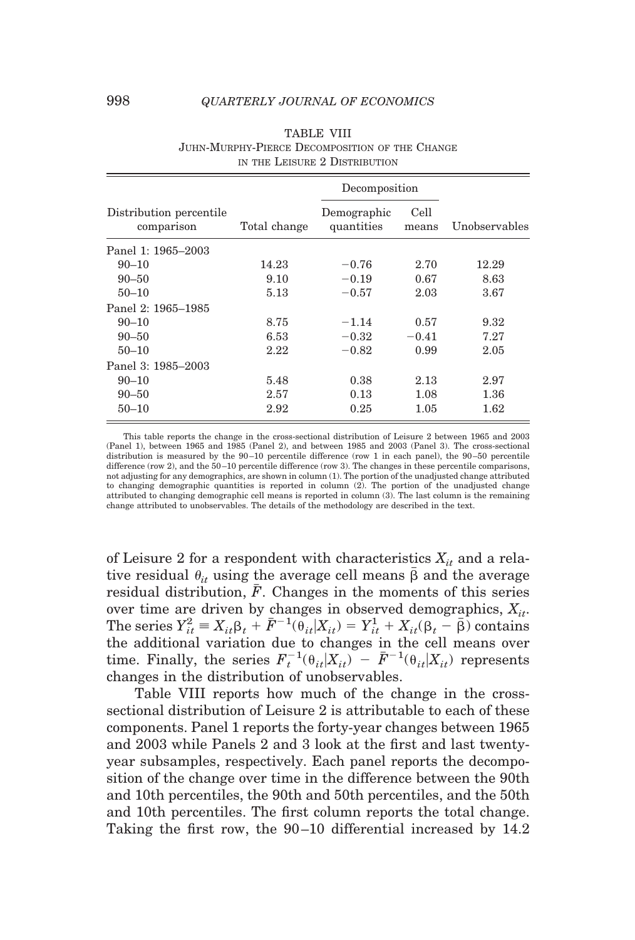|                                       |              | Decomposition             |               |               |
|---------------------------------------|--------------|---------------------------|---------------|---------------|
| Distribution percentile<br>comparison | Total change | Demographic<br>quantities | Cell<br>means | Unobservables |
| Panel 1: 1965–2003                    |              |                           |               |               |
| $90 - 10$                             | 14.23        | $-0.76$                   | 2.70          | 12.29         |
| $90 - 50$                             | 9.10         | $-0.19$                   | 0.67          | 8.63          |
| $50 - 10$                             | 5.13         | $-0.57$                   | 2.03          | 3.67          |
| Panel 2: 1965–1985                    |              |                           |               |               |
| $90 - 10$                             | 8.75         | $-1.14$                   | 0.57          | 9.32          |
| $90 - 50$                             | 6.53         | $-0.32$                   | $-0.41$       | 7.27          |
| $50 - 10$                             | 2.22         | $-0.82$                   | 0.99          | 2.05          |
| Panel 3: 1985–2003                    |              |                           |               |               |
| $90 - 10$                             | 5.48         | 0.38                      | 2.13          | 2.97          |
| $90 - 50$                             | 2.57         | 0.13                      | 1.08          | 1.36          |
| $50 - 10$                             | 2.92         | 0.25                      | 1.05          | 1.62          |

| TABLE VIII                                     |  |
|------------------------------------------------|--|
| JUHN-MURPHY-PIERCE DECOMPOSITION OF THE CHANGE |  |
| IN THE LEISURE 2 DISTRIBUTION                  |  |

This table reports the change in the cross-sectional distribution of Leisure 2 between 1965 and 2003 (Panel 1), between 1965 and 1985 (Panel 2), and between 1985 and 2003 (Panel 3). The cross-sectional distribution is measured by the 90 –10 percentile difference (row 1 in each panel), the 90 –50 percentile difference (row 2), and the 50 –10 percentile difference (row 3). The changes in these percentile comparisons, not adjusting for any demographics, are shown in column (1). The portion of the unadjusted change attributed to changing demographic quantities is reported in column (2). The portion of the unadjusted change attributed to changing demographic cell means is reported in column (3). The last column is the remaining change attributed to unobservables. The details of the methodology are described in the text.

of Leisure 2 for a respondent with characteristics  $X_{it}$  and a relative residual  $\theta_{it}$  using the average cell means  $\bar{\beta}$  and the average residual distribution,  $\bar{F}$ . Changes in the moments of this series over time are driven by changes in observed demographics,  $X_{it}$ . The series  $Y_{it}^2 \equiv X_{it}\beta_t + \bar{F}^{-1}(\theta_{it}|X_{it}) = Y_{it}^1 + X_{it}(\beta_t - \bar{\beta})$  contains the additional variation due to changes in the cell means over time. Finally, the series  $F_t^{-1}(\theta_{it}|X_{it}) - \bar{F}^{-1}(\theta_{it}|X_{it})$  represents changes in the distribution of unobservables.

Table VIII reports how much of the change in the crosssectional distribution of Leisure 2 is attributable to each of these components. Panel 1 reports the forty-year changes between 1965 and 2003 while Panels 2 and 3 look at the first and last twentyyear subsamples, respectively. Each panel reports the decomposition of the change over time in the difference between the 90th and 10th percentiles, the 90th and 50th percentiles, and the 50th and 10th percentiles. The first column reports the total change. Taking the first row, the 90–10 differential increased by 14.2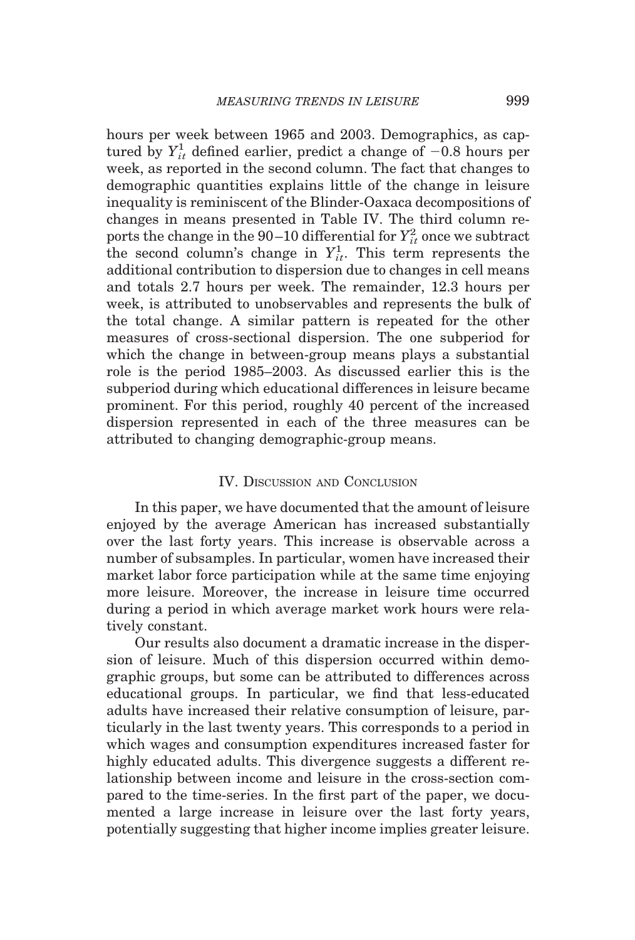hours per week between 1965 and 2003. Demographics, as captured by  $Y_{it}^1$  defined earlier, predict a change of  $-0.8$  hours per week, as reported in the second column. The fact that changes to demographic quantities explains little of the change in leisure inequality is reminiscent of the Blinder-Oaxaca decompositions of changes in means presented in Table IV. The third column reports the change in the  $90-10$  differential for  $Y_{it}^2$  once we subtract the second column's change in  $Y_{it}^1$ . This term represents the additional contribution to dispersion due to changes in cell means and totals 2.7 hours per week. The remainder, 12.3 hours per week, is attributed to unobservables and represents the bulk of the total change. A similar pattern is repeated for the other measures of cross-sectional dispersion. The one subperiod for which the change in between-group means plays a substantial role is the period 1985–2003. As discussed earlier this is the subperiod during which educational differences in leisure became prominent. For this period, roughly 40 percent of the increased dispersion represented in each of the three measures can be attributed to changing demographic-group means.

#### IV. DISCUSSION AND CONCLUSION

In this paper, we have documented that the amount of leisure enjoyed by the average American has increased substantially over the last forty years. This increase is observable across a number of subsamples. In particular, women have increased their market labor force participation while at the same time enjoying more leisure. Moreover, the increase in leisure time occurred during a period in which average market work hours were relatively constant.

Our results also document a dramatic increase in the dispersion of leisure. Much of this dispersion occurred within demographic groups, but some can be attributed to differences across educational groups. In particular, we find that less-educated adults have increased their relative consumption of leisure, particularly in the last twenty years. This corresponds to a period in which wages and consumption expenditures increased faster for highly educated adults. This divergence suggests a different relationship between income and leisure in the cross-section compared to the time-series. In the first part of the paper, we documented a large increase in leisure over the last forty years, potentially suggesting that higher income implies greater leisure.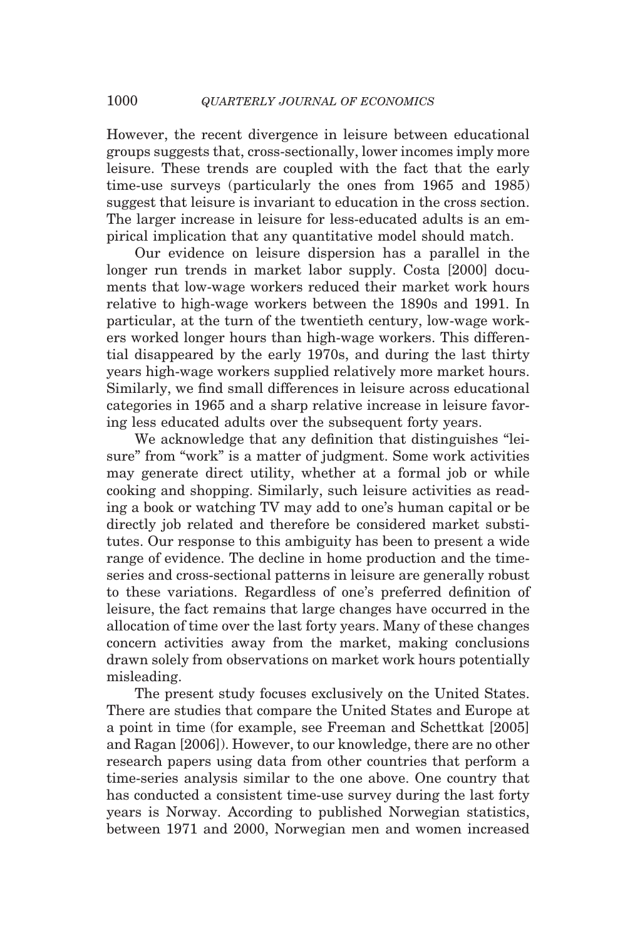However, the recent divergence in leisure between educational groups suggests that, cross-sectionally, lower incomes imply more leisure. These trends are coupled with the fact that the early time-use surveys (particularly the ones from 1965 and 1985) suggest that leisure is invariant to education in the cross section. The larger increase in leisure for less-educated adults is an empirical implication that any quantitative model should match.

Our evidence on leisure dispersion has a parallel in the longer run trends in market labor supply. Costa [2000] documents that low-wage workers reduced their market work hours relative to high-wage workers between the 1890s and 1991. In particular, at the turn of the twentieth century, low-wage workers worked longer hours than high-wage workers. This differential disappeared by the early 1970s, and during the last thirty years high-wage workers supplied relatively more market hours. Similarly, we find small differences in leisure across educational categories in 1965 and a sharp relative increase in leisure favoring less educated adults over the subsequent forty years.

We acknowledge that any definition that distinguishes "leisure" from "work" is a matter of judgment. Some work activities may generate direct utility, whether at a formal job or while cooking and shopping. Similarly, such leisure activities as reading a book or watching TV may add to one's human capital or be directly job related and therefore be considered market substitutes. Our response to this ambiguity has been to present a wide range of evidence. The decline in home production and the timeseries and cross-sectional patterns in leisure are generally robust to these variations. Regardless of one's preferred definition of leisure, the fact remains that large changes have occurred in the allocation of time over the last forty years. Many of these changes concern activities away from the market, making conclusions drawn solely from observations on market work hours potentially misleading.

The present study focuses exclusively on the United States. There are studies that compare the United States and Europe at a point in time (for example, see Freeman and Schettkat [2005] and Ragan [2006]). However, to our knowledge, there are no other research papers using data from other countries that perform a time-series analysis similar to the one above. One country that has conducted a consistent time-use survey during the last forty years is Norway. According to published Norwegian statistics, between 1971 and 2000, Norwegian men and women increased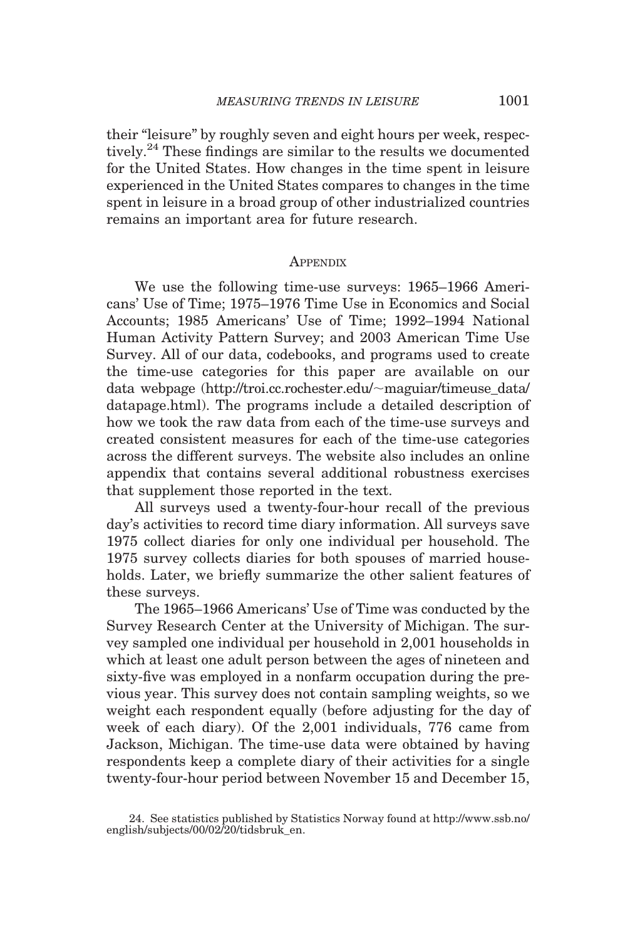their "leisure" by roughly seven and eight hours per week, respectively.24 These findings are similar to the results we documented for the United States. How changes in the time spent in leisure experienced in the United States compares to changes in the time spent in leisure in a broad group of other industrialized countries remains an important area for future research.

#### **APPENDIX**

We use the following time-use surveys: 1965–1966 Americans' Use of Time; 1975–1976 Time Use in Economics and Social Accounts; 1985 Americans' Use of Time; 1992–1994 National Human Activity Pattern Survey; and 2003 American Time Use Survey. All of our data, codebooks, and programs used to create the time-use categories for this paper are available on our data webpage (http://troi.cc.rochester.edu/~maguiar/timeuse\_data/ datapage.html). The programs include a detailed description of how we took the raw data from each of the time-use surveys and created consistent measures for each of the time-use categories across the different surveys. The website also includes an online appendix that contains several additional robustness exercises that supplement those reported in the text.

All surveys used a twenty-four-hour recall of the previous day's activities to record time diary information. All surveys save 1975 collect diaries for only one individual per household. The 1975 survey collects diaries for both spouses of married households. Later, we briefly summarize the other salient features of these surveys.

The 1965–1966 Americans' Use of Time was conducted by the Survey Research Center at the University of Michigan. The survey sampled one individual per household in 2,001 households in which at least one adult person between the ages of nineteen and sixty-five was employed in a nonfarm occupation during the previous year. This survey does not contain sampling weights, so we weight each respondent equally (before adjusting for the day of week of each diary). Of the 2,001 individuals, 776 came from Jackson, Michigan. The time-use data were obtained by having respondents keep a complete diary of their activities for a single twenty-four-hour period between November 15 and December 15,

<sup>24.</sup> See statistics published by Statistics Norway found at http://www.ssb.no/ english/subjects/00/02/20/tidsbruk\_en.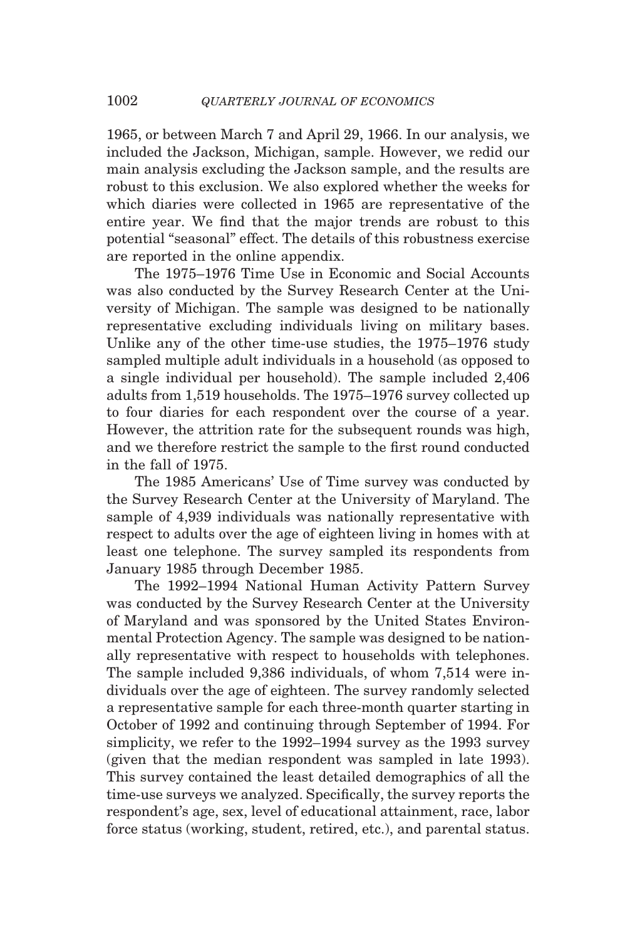1965, or between March 7 and April 29, 1966. In our analysis, we included the Jackson, Michigan, sample. However, we redid our main analysis excluding the Jackson sample, and the results are robust to this exclusion. We also explored whether the weeks for which diaries were collected in 1965 are representative of the entire year. We find that the major trends are robust to this potential "seasonal" effect. The details of this robustness exercise are reported in the online appendix.

The 1975–1976 Time Use in Economic and Social Accounts was also conducted by the Survey Research Center at the University of Michigan. The sample was designed to be nationally representative excluding individuals living on military bases. Unlike any of the other time-use studies, the 1975–1976 study sampled multiple adult individuals in a household (as opposed to a single individual per household). The sample included 2,406 adults from 1,519 households. The 1975–1976 survey collected up to four diaries for each respondent over the course of a year. However, the attrition rate for the subsequent rounds was high, and we therefore restrict the sample to the first round conducted in the fall of 1975.

The 1985 Americans' Use of Time survey was conducted by the Survey Research Center at the University of Maryland. The sample of 4,939 individuals was nationally representative with respect to adults over the age of eighteen living in homes with at least one telephone. The survey sampled its respondents from January 1985 through December 1985.

The 1992–1994 National Human Activity Pattern Survey was conducted by the Survey Research Center at the University of Maryland and was sponsored by the United States Environmental Protection Agency. The sample was designed to be nationally representative with respect to households with telephones. The sample included 9,386 individuals, of whom 7,514 were individuals over the age of eighteen. The survey randomly selected a representative sample for each three-month quarter starting in October of 1992 and continuing through September of 1994. For simplicity, we refer to the 1992–1994 survey as the 1993 survey (given that the median respondent was sampled in late 1993). This survey contained the least detailed demographics of all the time-use surveys we analyzed. Specifically, the survey reports the respondent's age, sex, level of educational attainment, race, labor force status (working, student, retired, etc.), and parental status.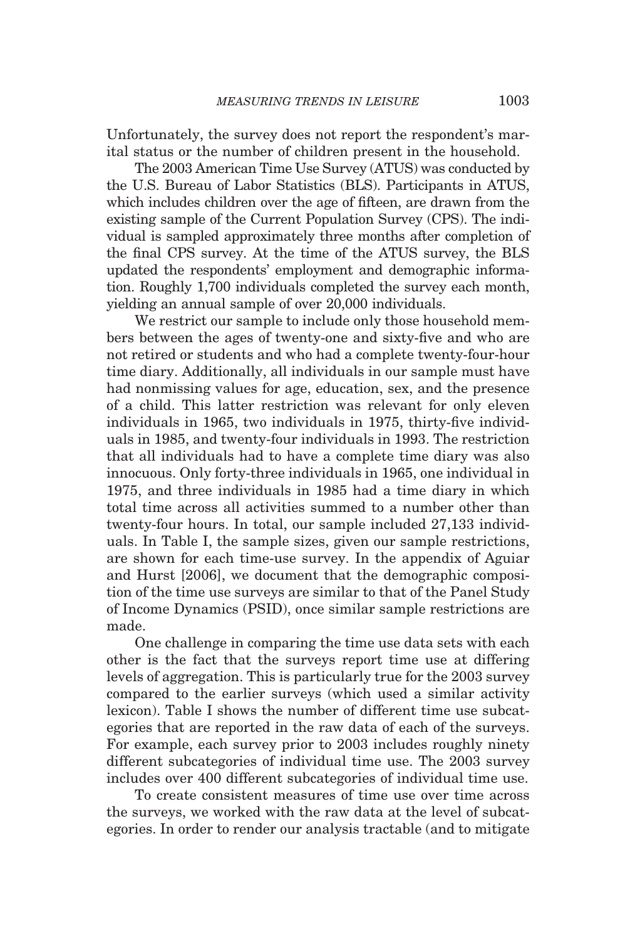Unfortunately, the survey does not report the respondent's marital status or the number of children present in the household.

The 2003 American Time Use Survey (ATUS) was conducted by the U.S. Bureau of Labor Statistics (BLS). Participants in ATUS, which includes children over the age of fifteen, are drawn from the existing sample of the Current Population Survey (CPS). The individual is sampled approximately three months after completion of the final CPS survey. At the time of the ATUS survey, the BLS updated the respondents' employment and demographic information. Roughly 1,700 individuals completed the survey each month, yielding an annual sample of over 20,000 individuals.

We restrict our sample to include only those household members between the ages of twenty-one and sixty-five and who are not retired or students and who had a complete twenty-four-hour time diary. Additionally, all individuals in our sample must have had nonmissing values for age, education, sex, and the presence of a child. This latter restriction was relevant for only eleven individuals in 1965, two individuals in 1975, thirty-five individuals in 1985, and twenty-four individuals in 1993. The restriction that all individuals had to have a complete time diary was also innocuous. Only forty-three individuals in 1965, one individual in 1975, and three individuals in 1985 had a time diary in which total time across all activities summed to a number other than twenty-four hours. In total, our sample included 27,133 individuals. In Table I, the sample sizes, given our sample restrictions, are shown for each time-use survey. In the appendix of Aguiar and Hurst [2006], we document that the demographic composition of the time use surveys are similar to that of the Panel Study of Income Dynamics (PSID), once similar sample restrictions are made.

One challenge in comparing the time use data sets with each other is the fact that the surveys report time use at differing levels of aggregation. This is particularly true for the 2003 survey compared to the earlier surveys (which used a similar activity lexicon). Table I shows the number of different time use subcategories that are reported in the raw data of each of the surveys. For example, each survey prior to 2003 includes roughly ninety different subcategories of individual time use. The 2003 survey includes over 400 different subcategories of individual time use.

To create consistent measures of time use over time across the surveys, we worked with the raw data at the level of subcategories. In order to render our analysis tractable (and to mitigate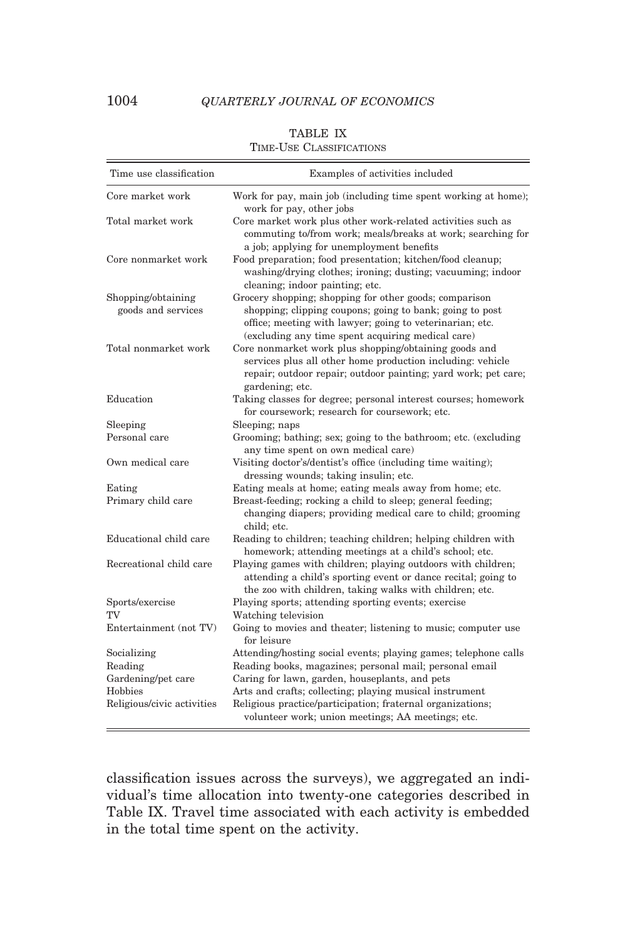| TABLE IX                        |
|---------------------------------|
| <b>TIME-USE CLASSIFICATIONS</b> |

| Time use classification                  | Examples of activities included                                                                                                                                                                                                     |
|------------------------------------------|-------------------------------------------------------------------------------------------------------------------------------------------------------------------------------------------------------------------------------------|
|                                          |                                                                                                                                                                                                                                     |
| Core market work                         | Work for pay, main job (including time spent working at home);<br>work for pay, other jobs                                                                                                                                          |
| Total market work                        | Core market work plus other work-related activities such as<br>commuting to/from work; meals/breaks at work; searching for<br>a job; applying for unemployment benefits                                                             |
| Core nonmarket work                      | Food preparation; food presentation; kitchen/food cleanup;<br>washing/drying clothes; ironing; dusting; vacuuming; indoor<br>cleaning; indoor painting; etc.                                                                        |
| Shopping/obtaining<br>goods and services | Grocery shopping; shopping for other goods; comparison<br>shopping; clipping coupons; going to bank; going to post<br>office; meeting with lawyer; going to veterinarian; etc.<br>(excluding any time spent acquiring medical care) |
| Total nonmarket work                     | Core nonmarket work plus shopping/obtaining goods and<br>services plus all other home production including: vehicle<br>repair; outdoor repair; outdoor painting; yard work; pet care;<br>gardening; etc.                            |
| Education                                | Taking classes for degree; personal interest courses; homework<br>for coursework; research for coursework; etc.                                                                                                                     |
| Sleeping                                 | Sleeping; naps                                                                                                                                                                                                                      |
| Personal care                            | Grooming; bathing; sex; going to the bathroom; etc. (excluding)<br>any time spent on own medical care)                                                                                                                              |
| Own medical care                         | Visiting doctor's/dentist's office (including time waiting);<br>dressing wounds; taking insulin; etc.                                                                                                                               |
| Eating                                   | Eating meals at home; eating meals away from home; etc.                                                                                                                                                                             |
| Primary child care                       | Breast-feeding; rocking a child to sleep; general feeding;<br>changing diapers; providing medical care to child; grooming<br>child; etc.                                                                                            |
| Educational child care                   | Reading to children; teaching children; helping children with<br>homework; attending meetings at a child's school; etc.                                                                                                             |
| Recreational child care                  | Playing games with children; playing outdoors with children;<br>attending a child's sporting event or dance recital; going to<br>the zoo with children, taking walks with children; etc.                                            |
| Sports/exercise                          | Playing sports; attending sporting events; exercise                                                                                                                                                                                 |
| TV                                       | Watching television                                                                                                                                                                                                                 |
| Entertainment (not TV)                   | Going to movies and theater; listening to music; computer use<br>for leisure                                                                                                                                                        |
| Socializing                              | Attending/hosting social events; playing games; telephone calls                                                                                                                                                                     |
| Reading                                  | Reading books, magazines; personal mail; personal email                                                                                                                                                                             |
| Gardening/pet care                       | Caring for lawn, garden, houseplants, and pets                                                                                                                                                                                      |
| Hobbies                                  | Arts and crafts; collecting; playing musical instrument                                                                                                                                                                             |
| Religious/civic activities               | Religious practice/participation; fraternal organizations;<br>volunteer work; union meetings; AA meetings; etc.                                                                                                                     |

classification issues across the surveys), we aggregated an individual's time allocation into twenty-one categories described in Table IX. Travel time associated with each activity is embedded in the total time spent on the activity.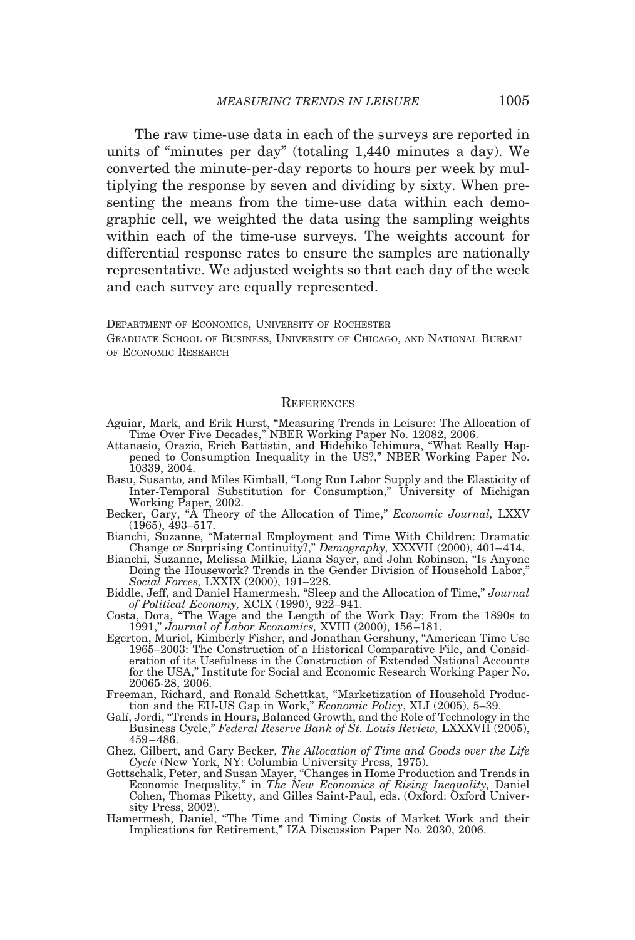The raw time-use data in each of the surveys are reported in units of "minutes per day" (totaling 1,440 minutes a day). We converted the minute-per-day reports to hours per week by multiplying the response by seven and dividing by sixty. When presenting the means from the time-use data within each demographic cell, we weighted the data using the sampling weights within each of the time-use surveys. The weights account for differential response rates to ensure the samples are nationally representative. We adjusted weights so that each day of the week and each survey are equally represented.

DEPARTMENT OF ECONOMICS, UNIVERSITY OF ROCHESTER

GRADUATE SCHOOL OF BUSINESS, UNIVERSITY OF CHICAGO, AND NATIONAL BUREAU OF ECONOMIC RESEARCH

#### **REFERENCES**

- Aguiar, Mark, and Erik Hurst, "Measuring Trends in Leisure: The Allocation of Time Over Five Decades," NBER Working Paper No. 12082, 2006.
- Attanasio, Orazio, Erich Battistin, and Hidehiko Ichimura, "What Really Happened to Consumption Inequality in the US?," NBER Working Paper No. 10339, 2004.
- Basu, Susanto, and Miles Kimball, "Long Run Labor Supply and the Elasticity of Inter-Temporal Substitution for Consumption," University of Michigan Working Paper, 2002.
- Becker, Gary, "A Theory of the Allocation of Time," *Economic Journal,* LXXV (1965), 493–517.
- Bianchi, Suzanne, "Maternal Employment and Time With Children: Dramatic Change or Surprising Continuity?," *Demography*, XXXVII (2000), 401-414.
- Bianchi, Suzanne, Melissa Milkie, Liana Sayer, and John Robinson, "Is Anyone Doing the Housework? Trends in the Gender Division of Household Labor," *Social Forces,* LXXIX (2000), 191–228.
- Biddle, Jeff, and Daniel Hamermesh, "Sleep and the Allocation of Time," *Journal of Political Economy,* XCIX (1990), 922–941.
- Costa, Dora, "The Wage and the Length of the Work Day: From the 1890s to 1991," *Journal of Labor Economics,* XVIII (2000), 156 –181.
- Egerton, Muriel, Kimberly Fisher, and Jonathan Gershuny, "American Time Use 1965–2003: The Construction of a Historical Comparative File, and Consideration of its Usefulness in the Construction of Extended National Accounts for the USA," Institute for Social and Economic Research Working Paper No. 20065-28, 2006.
- Freeman, Richard, and Ronald Schettkat, "Marketization of Household Production and the EU-US Gap in Work," *Economic Policy*, XLI (2005), 5–39.
- Gali, Jordi, "Trends in Hours, Balanced Growth, and the Role of Technology in the Business Cycle," *Federal Reserve Bank of St. Louis Review,* LXXXVII (2005), 459 – 486.
- Ghez, Gilbert, and Gary Becker, *The Allocation of Time and Goods over the Life Cycle* (New York, NY: Columbia University Press, 1975). Gottschalk, Peter, and Susan Mayer, "Changes in Home Production and Trends in
- Economic Inequality," in *The New Economics of Rising Inequality,* Daniel Cohen, Thomas Piketty, and Gilles Saint-Paul, eds. (Oxford: Oxford University Press, 2002).
- Hamermesh, Daniel, "The Time and Timing Costs of Market Work and their Implications for Retirement," IZA Discussion Paper No. 2030, 2006.